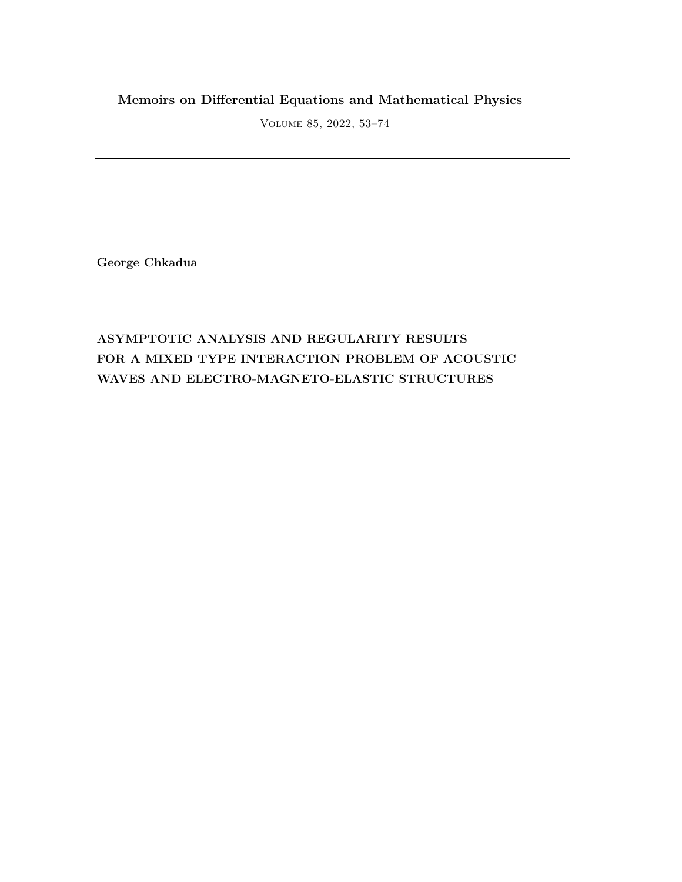## **Memoirs on Differential Equations and Mathematical Physics**

Volume 85, 2022, 53–74

**George Chkadua**

# **ASYMPTOTIC ANALYSIS AND REGULARITY RESULTS FOR A MIXED TYPE INTERACTION PROBLEM OF ACOUSTIC WAVES AND ELECTRO-MAGNETO-ELASTIC STRUCTURES**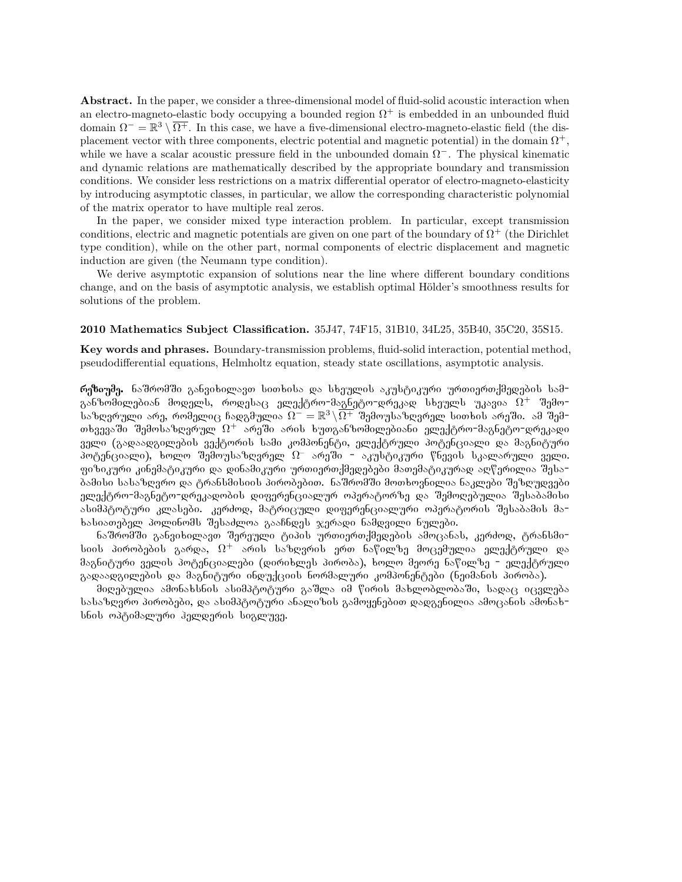**Abstract.** In the paper, we consider a three-dimensional model of fluid-solid acoustic interaction when an electro-magneto-elastic body occupying a bounded region  $\Omega^+$  is embedded in an unbounded fluid domain  $\Omega^- = \mathbb{R}^3 \setminus \overline{\Omega^+}$ . In this case, we have a five-dimensional electro-magneto-elastic field (the displacement vector with three components, electric potential and magnetic potential) in the domain  $\Omega^+$ , while we have a scalar acoustic pressure field in the unbounded domain Ω *−*. The physical kinematic and dynamic relations are mathematically described by the appropriate boundary and transmission conditions. We consider less restrictions on a matrix differential operator of electro-magneto-elasticity by introducing asymptotic classes, in particular, we allow the corresponding characteristic polynomial of the matrix operator to have multiple real zeros.

In the paper, we consider mixed type interaction problem. In particular, except transmission conditions, electric and magnetic potentials are given on one part of the boundary of  $\Omega^+$  (the Dirichlet type condition), while on the other part, normal components of electric displacement and magnetic induction are given (the Neumann type condition).

We derive asymptotic expansion of solutions near the line where different boundary conditions change, and on the basis of asymptotic analysis, we establish optimal Hölder's smoothness results for solutions of the problem.

#### **2010 Mathematics Subject Classification.** 35J47, 74F15, 31B10, 34L25, 35B40, 35C20, 35S15.

**Key words and phrases.** Boundary-transmission problems, fluid-solid interaction, potential method, pseudodifferential equations, Helmholtz equation, steady state oscillations, asymptotic analysis.

რეზიუმე. ნაშრომში განვიხილავთ სითხისა და სხეულის აკუსტიკური ურთიერთქმედების სამგანზომილებიან მოდელს, როდესაც ელექტრო-მაგნეტო-დრეკად სხეულს უკავია  $\Omega^+$  შემოსაზღვრული არე, რომელიც ჩადგმულია  $\Omega^-=\mathbb{R}^3\!\setminus\!\overline{\Omega^+}$  შემოუსაზღვრელ სითხის არეში. ამ შემ− თხვევაში შემოსაზღვრულ  $\Omega^+$  არეში არის ხუთგანზომილებიანი ელექტრო-მაგნეტო-დრეკადი  $\,$ ველი (გადაადგილების ვექტორის სამი კომპონენტი, ელექტრული პოტენციალი და მაგნიტური  $\bar{\tilde{\delta}}$ ოტენ $(\bar{\tilde{\delta}}$ იალი), ხოლო შემოუსაზღვრელ  $\Omega^-$  არეში – აკუსტიკური წნევის სკალარული ველი. ფიზიკური კინემატიკური და დინამიკური ურთიერთქმედებები მათემატიკურად აღწერილია შესა-<u>ბამისი სასაზღვრო და ტრანსმისიის პირობებით. ნაშრომში მოთხოვნილია ნაკლები შეზღუღვები</u> ელექტრო=მაგნეტო=დრეკადობის დიფერენციალურ ოპერატორზე და შემოღებულია შესაბამისი ასიმპტოტური კლასები. კერძოდ, მატრიცული დიფერენციალური ოპერატორის შესაბამის მახასიათებელ პოლინომს შესაძლოა გააჩნდეს ჯერადი ნამდვილი ნულები.

 $6$ აშრომში განვიხილავთ შერეული ტიპის ურთიერთქმედების ამოცანას, კერძოდ, ტრანსმისიის პირობების გარდა,  $\Omega^+$  არის საზღვრის ერთ ნაწილზე მოცემულია ელექტრული და მაგნიტური ველის პოტენციალები (დირიხლეს პირობა), ხოლო მეორე ნაწილზე − ელექტრული გადაადგილების და მაგნიტური ინდუქციის ნორმალური კომპონენტები (ნეიმანის პირობა).

მიღებულია ამონახსნის ასიმპტოტური გაშლა იმ წირის მახლობლობაში, სადაც იცვლება Նასაზღვრო პირობები, და ასიმპტოტური ანალიზის გამოყენებით დადგენილია ამოცანის ამონახ− სნის ოპტიმალური ჰელდერის სიგლუვე.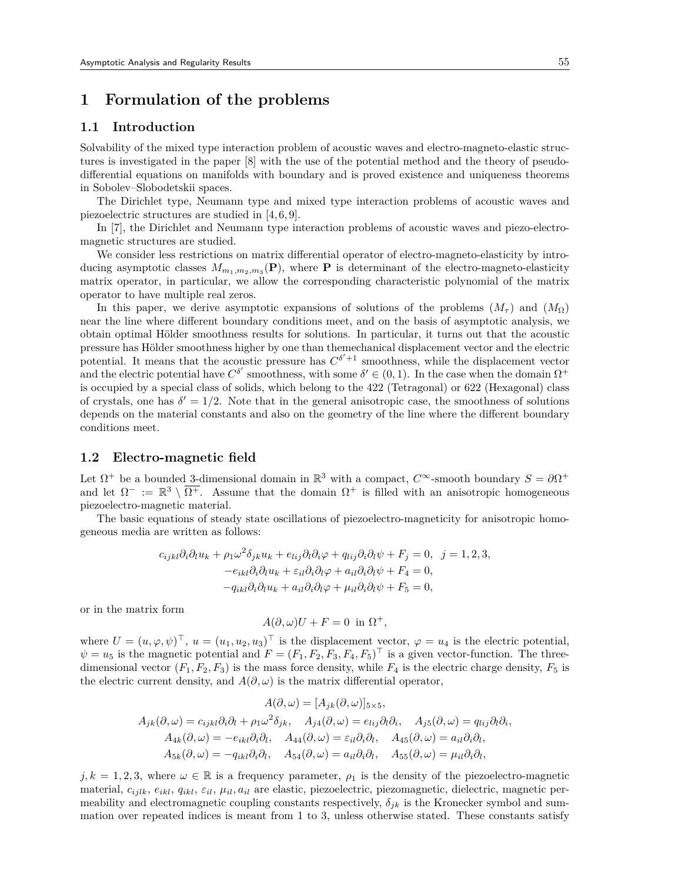## **1 Formulation of the problems**

#### **1.1 Introduction**

Solvability of the mixed type interaction problem of acoustic waves and electro-magneto-elastic structures is investigated in the paper [8] with the use of the potential method and the theory of pseudodifferential equations on manifolds with boundary and is proved existence and uniqueness theorems in Sobolev–Slobodetskii spaces.

The Dirichlet type, Neumann type and mixed type interaction problems of acoustic waves and piezoelectric structures are studied in [4,6,9].

In [7], the Dirichlet and Neumann type interaction problems of acoustic waves and piezo-electromagnetic structures are studied.

We consider less restrictions on matrix differential operator of electro-magneto-elasticity by introducing asymptotic classes  $M_{m_1,m_2,m_3}(\mathbf{P})$ , where **P** is determinant of the electro-magneto-elasticity matrix operator, in particular, we allow the corresponding characteristic polynomial of the matrix operator to have multiple real zeros.

In this paper, we derive asymptotic expansions of solutions of the problems  $(M_\tau)$  and  $(M_\Omega)$ near the line where different boundary conditions meet, and on the basis of asymptotic analysis, we obtain optimal Hölder smoothness results for solutions. In particular, it turns out that the acoustic pressure has Hölder smoothness higher by one than themechanical displacement vector and the electric potential. It means that the acoustic pressure has  $C^{\delta'+1}$  smoothness, while the displacement vector and the electric potential have  $C^{\delta'}$  smoothness, with some  $\delta' \in (0,1)$ . In the case when the domain  $\Omega^+$ is occupied by a special class of solids, which belong to the 422 (Tetragonal) or 622 (Hexagonal) class of crystals, one has  $\delta' = 1/2$ . Note that in the general anisotropic case, the smoothness of solutions depends on the material constants and also on the geometry of the line where the different boundary conditions meet.

#### **1.2 Electro-magnetic field**

Let  $\Omega^+$  be a bounded 3-dimensional domain in  $\mathbb{R}^3$  with a compact,  $C^{\infty}$ -smooth boundary  $S = \partial \Omega^+$ and let  $\Omega^- := \mathbb{R}^3 \setminus \overline{\Omega^+}$ . Assume that the domain  $\Omega^+$  is filled with an anisotropic homogeneous piezoelectro-magnetic material.

The basic equations of steady state oscillations of piezoelectro-magneticity for anisotropic homogeneous media are written as follows:

$$
c_{ijkl}\partial_i\partial_l u_k + \rho_1 \omega^2 \delta_{jk} u_k + e_{lij}\partial_l \partial_i \varphi + q_{lij}\partial_i \partial_l \psi + F_j = 0, \ \ j = 1, 2, 3,
$$
  
\n
$$
-e_{ikl}\partial_i \partial_l u_k + \varepsilon_{il}\partial_i \partial_l \varphi + a_{il}\partial_i \partial_l \psi + F_4 = 0,
$$
  
\n
$$
-q_{ikl}\partial_i \partial_l u_k + a_{il}\partial_i \partial_l \varphi + \mu_{il}\partial_i \partial_l \psi + F_5 = 0,
$$

or in the matrix form

$$
A(\partial,\omega)U + F = 0 \text{ in } \Omega^+,
$$

where  $U = (u, \varphi, \psi)^\top$ ,  $u = (u_1, u_2, u_3)^\top$  is the displacement vector,  $\varphi = u_4$  is the electric potential,  $\psi = u_5$  is the magnetic potential and  $F = (F_1, F_2, F_3, F_4, F_5)^\top$  is a given vector-function. The threedimensional vector  $(F_1, F_2, F_3)$  is the mass force density, while  $F_4$  is the electric charge density,  $F_5$  is the electric current density, and  $A(\partial,\omega)$  is the matrix differential operator,

$$
A(\partial,\omega) = [A_{jk}(\partial,\omega)]_{5\times 5},
$$
  
\n
$$
A_{jk}(\partial,\omega) = c_{ijkl}\partial_i\partial_l + \rho_1\omega^2\delta_{jk}, \quad A_{j4}(\partial,\omega) = e_{lij}\partial_l\partial_i, \quad A_{j5}(\partial,\omega) = q_{lij}\partial_l\partial_i,
$$
  
\n
$$
A_{4k}(\partial,\omega) = -e_{ikl}\partial_i\partial_l, \quad A_{44}(\partial,\omega) = \varepsilon_{il}\partial_i\partial_l, \quad A_{45}(\partial,\omega) = a_{il}\partial_i\partial_l,
$$
  
\n
$$
A_{5k}(\partial,\omega) = -q_{ikl}\partial_i\partial_l, \quad A_{54}(\partial,\omega) = a_{il}\partial_i\partial_l, \quad A_{55}(\partial,\omega) = \mu_{il}\partial_i\partial_l,
$$

 $j, k = 1, 2, 3$ , where  $\omega \in \mathbb{R}$  is a frequency parameter,  $\rho_1$  is the density of the piezoelectro-magnetic material, *cijlk*, *eikl*, *qikl*, *εil*, *µil, ail* are elastic, piezoelectric, piezomagnetic, dielectric, magnetic permeability and electromagnetic coupling constants respectively,  $\delta_{ik}$  is the Kronecker symbol and summation over repeated indices is meant from 1 to 3, unless otherwise stated. These constants satisfy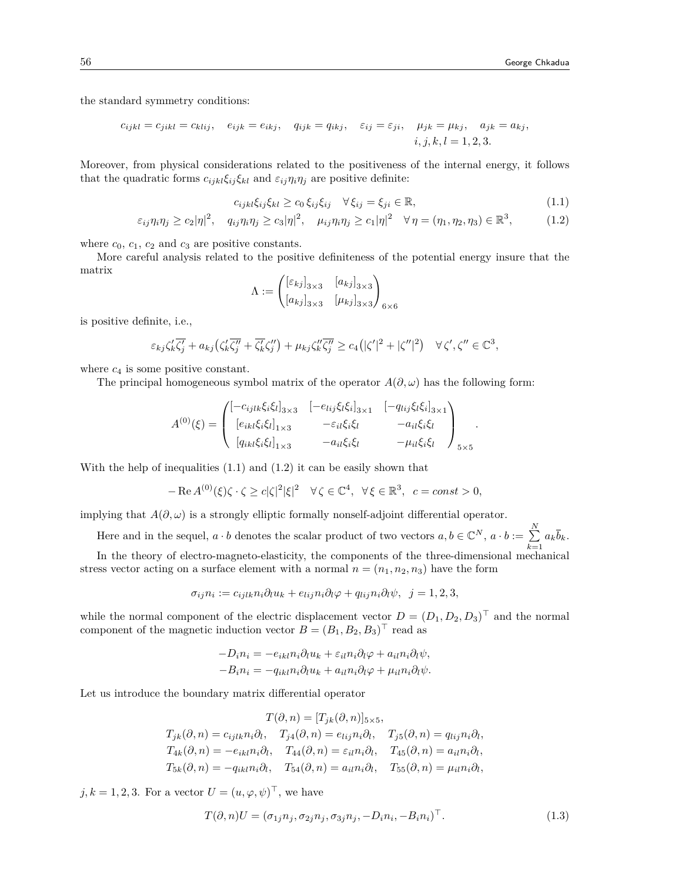the standard symmetry conditions:

$$
c_{ijkl} = c_{jikl} = c_{klij}, \quad e_{ijk} = e_{ikj}, \quad q_{ijk} = q_{ikj}, \quad \varepsilon_{ij} = \varepsilon_{ji}, \quad \mu_{jk} = \mu_{kj}, \quad a_{jk} = a_{kj},
$$

$$
i, j, k, l = 1, 2, 3.
$$

Moreover, from physical considerations related to the positiveness of the internal energy, it follows that the quadratic forms  $c_{ijkl}\xi_{ij}\xi_{kl}$  and  $\varepsilon_{ij}\eta_i\eta_j$  are positive definite:

$$
c_{ijkl}\xi_{ij}\xi_{kl} \ge c_0 \xi_{ij}\xi_{ij} \quad \forall \xi_{ij} = \xi_{ji} \in \mathbb{R},\tag{1.1}
$$

*.*

$$
\varepsilon_{ij}\eta_i\eta_j \ge c_2|\eta|^2, \quad q_{ij}\eta_i\eta_j \ge c_3|\eta|^2, \quad \mu_{ij}\eta_i\eta_j \ge c_1|\eta|^2 \quad \forall \eta = (\eta_1, \eta_2, \eta_3) \in \mathbb{R}^3,
$$
 (1.2)

where  $c_0$ ,  $c_1$ ,  $c_2$  and  $c_3$  are positive constants.

More careful analysis related to the positive definiteness of the potential energy insure that the matrix

$$
\Lambda := \begin{pmatrix} [\varepsilon_{kj}]_{3\times 3} & [a_{kj}]_{3\times 3} \\ [a_{kj}]_{3\times 3} & [ \mu_{kj}]_{3\times 3} \end{pmatrix}_{6\times 6}
$$

is positive definite, i.e.,

$$
\varepsilon_{kj}\zeta'_k\overline{\zeta'_j}+a_{kj}(\zeta'_k\overline{\zeta''_j}+\overline{\zeta'_k}\zeta''_j)+\mu_{kj}\zeta''_k\overline{\zeta''_j}\geq c_4(|\zeta'|^2+|\zeta''|^2)\quad\forall\,\zeta',\zeta''\in\mathbb{C}^3,
$$

where  $c_4$  is some positive constant.

The principal homogeneous symbol matrix of the operator  $A(\partial, \omega)$  has the following form:

$$
A^{(0)}(\xi) = \begin{pmatrix} [-c_{ijlk}\xi_i\xi_l]_{3\times 3} & [-e_{lij}\xi_l\xi_i]_{3\times 1} & [-q_{lij}\xi_l\xi_i]_{3\times 1} \\ [e_{ikl}\xi_i\xi_l]_{1\times 3} & -\varepsilon_{il}\xi_i\xi_l & -a_{il}\xi_i\xi_l \\ [q_{ikl}\xi_i\xi_l]_{1\times 3} & -a_{il}\xi_i\xi_l & -\mu_{il}\xi_i\xi_l \end{pmatrix}_{5\times 5}
$$

With the help of inequalities  $(1.1)$  and  $(1.2)$  it can be easily shown that

$$
-\operatorname{Re} A^{(0)}(\xi)\zeta \cdot \zeta \ge c|\zeta|^2|\xi|^2 \quad \forall \zeta \in \mathbb{C}^4, \ \forall \xi \in \mathbb{R}^3, \ c = const > 0,
$$

implying that  $A(\partial, \omega)$  is a strongly elliptic formally nonself-adjoint differential operator.

Here and in the sequel,  $a \cdot b$  denotes the scalar product of two vectors  $a, b \in \mathbb{C}^N$ ,  $a \cdot b := \sum^N$  $\sum_{k=1}^{\infty} a_k \overline{b}_k.$ 

In the theory of electro-magneto-elasticity, the components of the three-dimensional mechanical stress vector acting on a surface element with a normal  $n = (n_1, n_2, n_3)$  have the form

$$
\sigma_{ij} n_i := c_{ijlk} n_i \partial_l u_k + e_{lij} n_i \partial_l \varphi + q_{lij} n_i \partial_l \psi, \ \ j = 1, 2, 3,
$$

while the normal component of the electric displacement vector  $D = (D_1, D_2, D_3)^{\perp}$  and the normal component of the magnetic induction vector  $B = (B_1, B_2, B_3)^{\top}$  read as

$$
-D_{i}n_{i} = -e_{ikl}n_{i}\partial_{l}u_{k} + \varepsilon_{il}n_{i}\partial_{l}\varphi + a_{il}n_{i}\partial_{l}\psi,
$$
  

$$
-B_{i}n_{i} = -q_{ikl}n_{i}\partial_{l}u_{k} + a_{il}n_{i}\partial_{l}\varphi + \mu_{il}n_{i}\partial_{l}\psi.
$$

Let us introduce the boundary matrix differential operator

$$
T(\partial, n) = [T_{jk}(\partial, n)]_{5 \times 5},
$$
  
\n
$$
T_{jk}(\partial, n) = c_{ijlk} n_i \partial_l, \quad T_{j4}(\partial, n) = e_{lij} n_i \partial_l, \quad T_{j5}(\partial, n) = q_{lij} n_i \partial_l,
$$
  
\n
$$
T_{4k}(\partial, n) = -e_{ikl} n_i \partial_l, \quad T_{44}(\partial, n) = \varepsilon_{il} n_i \partial_l, \quad T_{45}(\partial, n) = a_{il} n_i \partial_l,
$$
  
\n
$$
T_{5k}(\partial, n) = -q_{ikl} n_i \partial_l, \quad T_{54}(\partial, n) = a_{il} n_i \partial_l, \quad T_{55}(\partial, n) = \mu_{il} n_i \partial_l,
$$

 $j, k = 1, 2, 3$ . For a vector  $U = (u, \varphi, \psi)^\top$ , we have

$$
T(\partial, n)U = (\sigma_{1j}n_j, \sigma_{2j}n_j, \sigma_{3j}n_j, -D_i n_i, -B_i n_i)^{\top}.
$$
\n(1.3)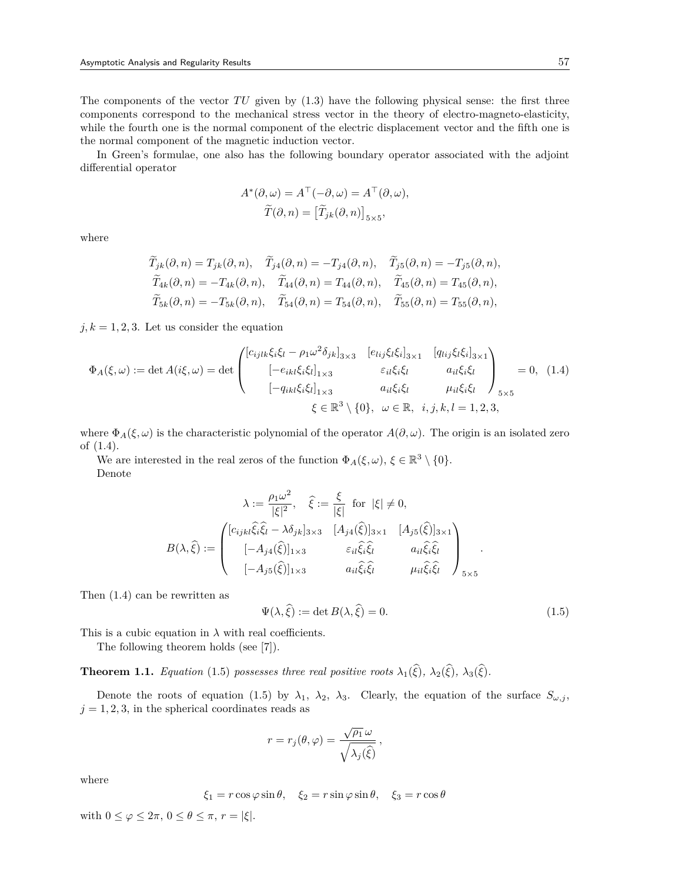The components of the vector *TU* given by (1.3) have the following physical sense: the first three components correspond to the mechanical stress vector in the theory of electro-magneto-elasticity, while the fourth one is the normal component of the electric displacement vector and the fifth one is the normal component of the magnetic induction vector.

In Green's formulae, one also has the following boundary operator associated with the adjoint differential operator

$$
A^*(\partial, \omega) = A^{\top}(-\partial, \omega) = A^{\top}(\partial, \omega),
$$

$$
\widetilde{T}(\partial, n) = [\widetilde{T}_{jk}(\partial, n)]_{5 \times 5},
$$

where

$$
\widetilde{T}_{jk}(\partial,n) = T_{jk}(\partial,n), \quad \widetilde{T}_{j4}(\partial,n) = -T_{j4}(\partial,n), \quad \widetilde{T}_{j5}(\partial,n) = -T_{j5}(\partial,n),
$$
  

$$
\widetilde{T}_{4k}(\partial,n) = -T_{4k}(\partial,n), \quad \widetilde{T}_{44}(\partial,n) = T_{44}(\partial,n), \quad \widetilde{T}_{45}(\partial,n) = T_{45}(\partial,n),
$$
  

$$
\widetilde{T}_{5k}(\partial,n) = -T_{5k}(\partial,n), \quad \widetilde{T}_{54}(\partial,n) = T_{54}(\partial,n), \quad \widetilde{T}_{55}(\partial,n) = T_{55}(\partial,n),
$$

 $j, k = 1, 2, 3$ . Let us consider the equation

$$
\Phi_A(\xi,\omega) := \det A(i\xi,\omega) = \det \begin{pmatrix} [c_{ijlk}\xi_i\xi_l - \rho_1\omega^2\delta_{jk}]_{3\times 3} & [e_{lij}\xi_l\xi_i]_{3\times 1} & [q_{lij}\xi_l\xi_i]_{3\times 1} \\ [-e_{ikl}\xi_i\xi_l]_{1\times 3} & \varepsilon_{il}\xi_i\xi_l & a_{il}\xi_i\xi_l \\ [-q_{ikl}\xi_i\xi_l]_{1\times 3} & a_{il}\xi_i\xi_l & \mu_{il}\xi_i\xi_l \end{pmatrix}_{5\times 5} = 0, (1.4)
$$
  
 $\xi \in \mathbb{R}^3 \setminus \{0\}, \omega \in \mathbb{R}, i, j, k, l = 1, 2, 3,$ 

where  $\Phi_A(\xi,\omega)$  is the characteristic polynomial of the operator  $A(\partial,\omega)$ . The origin is an isolated zero of (1.4).

We are interested in the real zeros of the function  $\Phi_A(\xi,\omega)$ ,  $\xi \in \mathbb{R}^3 \setminus \{0\}$ . Denote

$$
\lambda := \frac{\rho_1 \omega^2}{|\xi|^2}, \quad \hat{\xi} := \frac{\xi}{|\xi|} \text{ for } |\xi| \neq 0,
$$
  

$$
B(\lambda, \hat{\xi}) := \begin{pmatrix} [c_{ijkl}\hat{\xi}_i\hat{\xi}_l - \lambda \delta_{jk}]_{3\times 3} & [A_{j4}(\hat{\xi})]_{3\times 1} & [A_{j5}(\hat{\xi})]_{3\times 1} \\ [-A_{j4}(\hat{\xi})]_{1\times 3} & \varepsilon_{il}\hat{\xi}_i\hat{\xi}_l & a_{il}\hat{\xi}_i\hat{\xi}_l \\ [-A_{j5}(\hat{\xi})]_{1\times 3} & a_{il}\hat{\xi}_i\hat{\xi}_l & \mu_{il}\hat{\xi}_i\hat{\xi}_l \end{pmatrix}_{5\times 5}.
$$

Then (1.4) can be rewritten as

$$
\Psi(\lambda, \hat{\xi}) := \det B(\lambda, \hat{\xi}) = 0.
$$
\n(1.5)

This is a cubic equation in  $\lambda$  with real coefficients.

The following theorem holds (see [7]).

**Theorem 1.1.** *Equation* (1.5) *possesses three real positive roots*  $\lambda_1(\hat{\xi})$ *,*  $\lambda_2(\hat{\xi})$ *,*  $\lambda_3(\hat{\xi})$ *.* 

Denote the roots of equation (1.5) by  $\lambda_1$ ,  $\lambda_2$ ,  $\lambda_3$ . Clearly, the equation of the surface  $S_{\omega,j}$ ,  $j = 1, 2, 3$ , in the spherical coordinates reads as

$$
r = r_j(\theta, \varphi) = \frac{\sqrt{\rho_1} \omega}{\sqrt{\lambda_j(\hat{\xi})}},
$$

where

$$
\xi_1 = r \cos \varphi \sin \theta, \quad \xi_2 = r \sin \varphi \sin \theta, \quad \xi_3 = r \cos \theta
$$

with  $0 \leq \varphi \leq 2\pi$ ,  $0 \leq \theta \leq \pi$ ,  $r = |\xi|$ .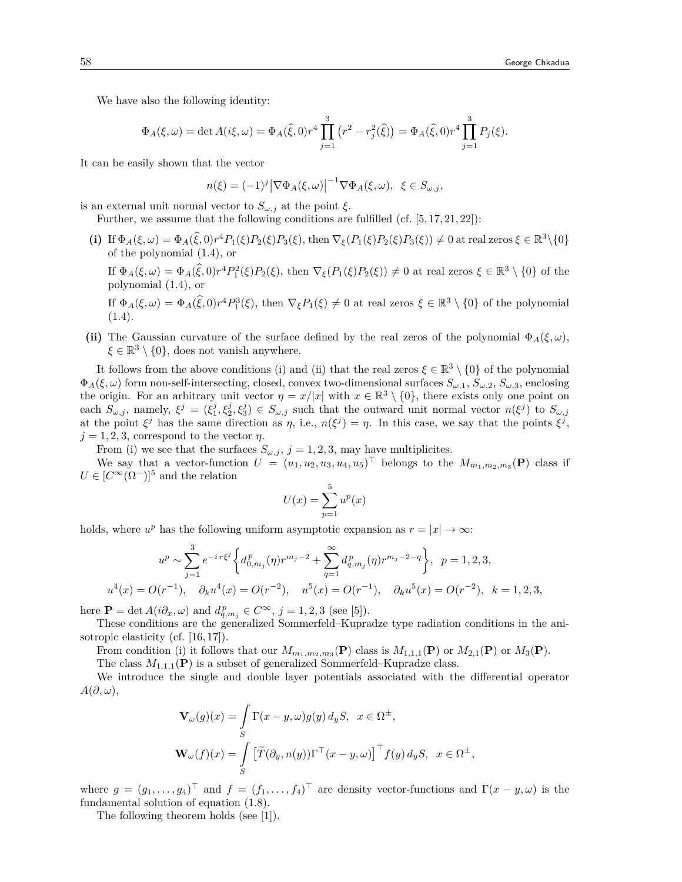We have also the following identity:

$$
\Phi_A(\xi,\omega) = \det A(i\xi,\omega) = \Phi_A(\widehat{\xi},0)r^4 \prod_{j=1}^3 (r^2 - r_j^2(\widehat{\xi})) = \Phi_A(\widehat{\xi},0)r^4 \prod_{j=1}^3 P_j(\xi).
$$

It can be easily shown that the vector

$$
n(\xi) = (-1)^j |\nabla \Phi_A(\xi, \omega)|^{-1} \nabla \Phi_A(\xi, \omega), \xi \in S_{\omega, j},
$$

is an external unit normal vector to  $S_{\omega,j}$  at the point  $\xi$ .

Further, we assume that the following conditions are fulfilled (cf. [5,17,21,22]):

(i) If  $\Phi_A(\xi,\omega) = \Phi_A(\widehat{\xi},0)r^4P_1(\xi)P_2(\xi)P_3(\xi)$ , then  $\nabla_{\xi}(P_1(\xi)P_2(\xi)P_3(\xi)) \neq 0$  at real zeros  $\xi \in \mathbb{R}^3 \setminus \{0\}$ of the polynomial (1.4), or

If  $\Phi_A(\xi,\omega) = \Phi_A(\widehat{\xi},0)r^4P_1^2(\xi)P_2(\xi)$ , then  $\nabla_{\xi}(P_1(\xi)P_2(\xi)) \neq 0$  at real zeros  $\xi \in \mathbb{R}^3 \setminus \{0\}$  of the polynomial (1.4), or

If  $\Phi_A(\xi,\omega) = \Phi_A(\tilde{\xi},0)r^4P_1^3(\xi)$ , then  $\nabla_{\xi}P_1(\xi) \neq 0$  at real zeros  $\xi \in \mathbb{R}^3 \setminus \{0\}$  of the polynomial  $(1.4).$ 

**(ii)** The Gaussian curvature of the surface defined by the real zeros of the polynomial  $\Phi_A(\xi,\omega)$ ,  $\xi \in \mathbb{R}^3 \setminus \{0\}$ , does not vanish anywhere.

It follows from the above conditions (i) and (ii) that the real zeros  $\xi \in \mathbb{R}^3 \setminus \{0\}$  of the polynomial  $\Phi_A(\xi,\omega)$  form non-self-intersecting, closed, convex two-dimensional surfaces  $S_{\omega,1}$ ,  $S_{\omega,2}$ ,  $S_{\omega,3}$ , enclosing the origin. For an arbitrary unit vector  $\eta = x/|x|$  with  $x \in \mathbb{R}^3 \setminus \{0\}$ , there exists only one point on each  $S_{\omega,j}$ , namely,  $\xi^j = (\xi_1^j, \xi_2^j, \xi_3^j) \in S_{\omega,j}$  such that the outward unit normal vector  $n(\xi^j)$  to  $S_{\omega,j}$ at the point  $\xi^j$  has the same direction as  $\eta$ , i.e.,  $n(\xi^j) = \eta$ . In this case, we say that the points  $\xi^j$ ,  $j = 1, 2, 3$ , correspond to the vector *η*.

From (i) we see that the surfaces  $S_{\omega, j}$ ,  $j = 1, 2, 3$ , may have multiplicites.

We say that a vector-function  $U = (u_1, u_2, u_3, u_4, u_5)$ <sup> $\perp$ </sup> belongs to the  $M_{m_1, m_2, m_3}(\mathbf{P})$  class if  $U \in [C^{\infty}(\Omega^-)]^5$  and the relation

$$
U(x) = \sum_{p=1}^{5} u^p(x)
$$

holds, where  $u^p$  has the following uniform asymptotic expansion as  $r = |x| \to \infty$ :

$$
u^{p} \sim \sum_{j=1}^{3} e^{-i r \xi^{j}} \left\{ d_{0,m_{j}}^{p}(\eta) r^{m_{j}-2} + \sum_{q=1}^{\infty} d_{q,m_{j}}^{p}(\eta) r^{m_{j}-2-q} \right\}, \quad p = 1, 2, 3,
$$
  

$$
u^{4}(x) = O(r^{-1}), \quad \partial_{k} u^{4}(x) = O(r^{-2}), \quad u^{5}(x) = O(r^{-1}), \quad \partial_{k} u^{5}(x) = O(r^{-2}), \quad k = 1, 2, 3,
$$

here  $\mathbf{P} = \det A(i\partial_x, \omega)$  and  $d_{q,m_j}^p \in C^{\infty}, j = 1, 2, 3$  (see [5]).

These conditions are the generalized Sommerfeld–Kupradze type radiation conditions in the anisotropic elasticity (cf. [16,17]).

From condition (i) it follows that our  $M_{m_1,m_2,m_3}(\mathbf{P})$  class is  $M_{1,1,1}(\mathbf{P})$  or  $M_{2,1}(\mathbf{P})$  or  $M_3(\mathbf{P})$ .

The class  $M_{1,1,1}(\mathbf{P})$  is a subset of generalized Sommerfeld–Kupradze class.

We introduce the single and double layer potentials associated with the differential operator *A*(*∂, ω*),

$$
\begin{aligned} \mathbf{V}_{\omega}(g)(x)&=\int\limits_{S}\Gamma(x-y,\omega)g(y)\,d_{y}S,\;\;x\in\Omega^{\pm},\\ \mathbf{W}_{\omega}(f)(x)&=\int\limits_{S}\left[\widetilde{T}(\partial_{y},n(y))\Gamma^{\top}(x-y,\omega)\right]^{\top}f(y)\,d_{y}S,\;\;x\in\Omega^{\pm}, \end{aligned}
$$

where  $g = (g_1, \ldots, g_4)^\top$  and  $f = (f_1, \ldots, f_4)^\top$  are density vector-functions and  $\Gamma(x - y, \omega)$  is the fundamental solution of equation (1.8).

The following theorem holds (see [1]).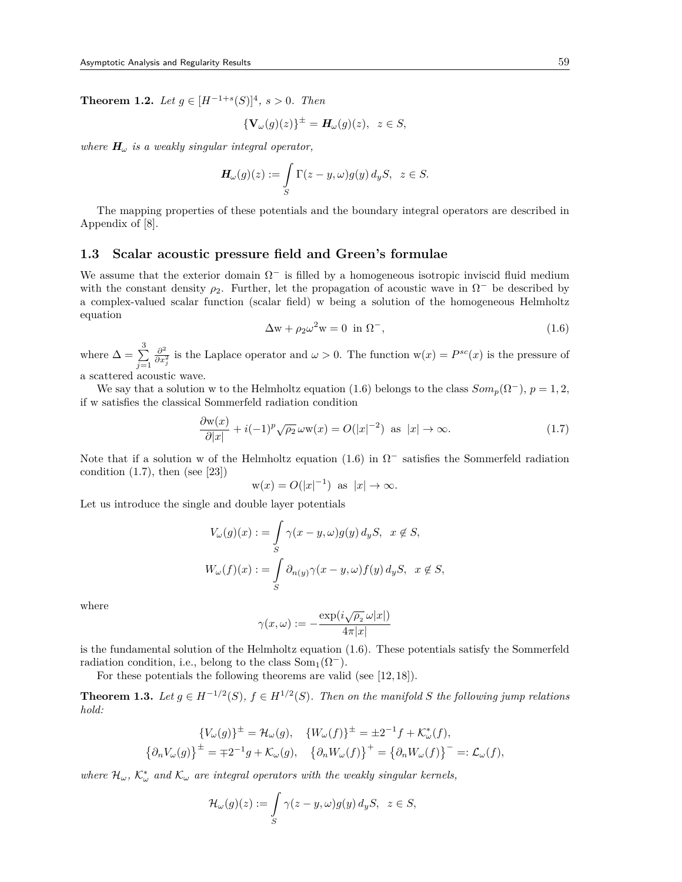**Theorem 1.2.** *Let*  $g \in [H^{-1+s}(S)]^4$ ,  $s > 0$ *. Then* 

$$
\{\mathbf V_{\omega}(g)(z)\}^{\pm} = \mathbf H_{\omega}(g)(z), \ \ z \in S,
$$

*where*  $H_{\omega}$  *is a weakly singular integral operator,* 

$$
\mathbf{H}_{\omega}(g)(z) := \int_{S} \Gamma(z - y, \omega) g(y) \, d_y S, \quad z \in S.
$$

The mapping properties of these potentials and the boundary integral operators are described in Appendix of [8].

#### **1.3 Scalar acoustic pressure field and Green's formulae**

We assume that the exterior domain  $\Omega^-$  is filled by a homogeneous isotropic inviscid fluid medium with the constant density  $\rho_2$ . Further, let the propagation of acoustic wave in  $\Omega^-$  be described by a complex-valued scalar function (scalar field) w being a solution of the homogeneous Helmholtz equation

$$
\Delta \mathbf{w} + \rho_2 \omega^2 \mathbf{w} = 0 \text{ in } \Omega^-, \tag{1.6}
$$

where  $\Delta = \sum_{i=1}^{3}$ *j*=1 *∂* 2 *∂<sup>2</sup>*</sup><sub>*∂x*<sub>2</sub></sub><sup>2</sup></del> is the Laplace operator and *ω* > 0. The function w(*x*) = *P*<sup>*sc*</sup>(*x*) is the pressure of a scattered acoustic wave.

We say that a solution w to the Helmholtz equation (1.6) belongs to the class  $Som_p(\Omega^-)$ ,  $p = 1, 2$ , if w satisfies the classical Sommerfeld radiation condition

$$
\frac{\partial w(x)}{\partial |x|} + i(-1)^p \sqrt{\rho_2} \,\omega w(x) = O(|x|^{-2}) \text{ as } |x| \to \infty. \tag{1.7}
$$

Note that if a solution w of the Helmholtz equation (1.6) in Ω *−* satisfies the Sommerfeld radiation condition  $(1.7)$ , then (see [23])

$$
w(x) = O(|x|^{-1}) \text{ as } |x| \to \infty.
$$

Let us introduce the single and double layer potentials

$$
V_{\omega}(g)(x) := \int_{S} \gamma(x - y, \omega) g(y) d_y S, \quad x \notin S,
$$
  

$$
W_{\omega}(f)(x) := \int_{S} \partial_{n(y)} \gamma(x - y, \omega) f(y) d_y S, \quad x \notin S,
$$

where

$$
\gamma(x,\omega) := -\frac{\exp(i\sqrt{\rho_2}\,\omega|x|)}{4\pi|x|}
$$

is the fundamental solution of the Helmholtz equation (1.6). These potentials satisfy the Sommerfeld radiation condition, i.e., belong to the class  $\text{Som}_1(\Omega^-)$ .

For these potentials the following theorems are valid (see [12,18]).

**Theorem 1.3.** *Let*  $g \in H^{-1/2}(S)$ *,*  $f \in H^{1/2}(S)$ *. Then on the manifold S the following jump relations hold:*

$$
\{V_{\omega}(g)\}^{\pm} = \mathcal{H}_{\omega}(g), \quad \{W_{\omega}(f)\}^{\pm} = \pm 2^{-1}f + \mathcal{K}_{\omega}^{*}(f),
$$
  

$$
\{\partial_{n}V_{\omega}(g)\}^{\pm} = \mp 2^{-1}g + \mathcal{K}_{\omega}(g), \quad \{\partial_{n}W_{\omega}(f)\}^{+} = \{\partial_{n}W_{\omega}(f)\}^{-} =: \mathcal{L}_{\omega}(f),
$$

*where*  $\mathcal{H}_{\omega}$ ,  $\mathcal{K}_{\omega}^*$  *and*  $\mathcal{K}_{\omega}$  *are integral operators with the weakly singular kernels,* 

$$
\mathcal{H}_{\omega}(g)(z) := \int_{S} \gamma(z - y, \omega) g(y) \, d_y S, \ \ z \in S,
$$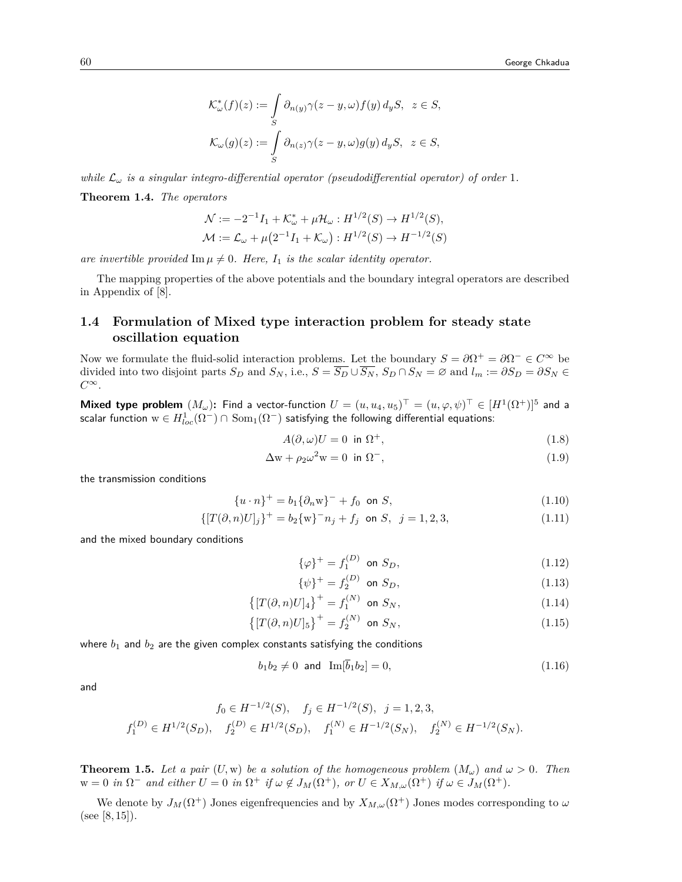$$
\mathcal{K}^*_{\omega}(f)(z) := \int_{S} \partial_{n(y)} \gamma(z - y, \omega) f(y) d_y S, \ z \in S,
$$
  

$$
\mathcal{K}_{\omega}(g)(z) := \int_{S} \partial_{n(z)} \gamma(z - y, \omega) g(y) d_y S, \ z \in S,
$$

*while*  $\mathcal{L}_{\omega}$  *is a singular integro-differential operator (pseudodifferential operator) of order* 1*.* 

**Theorem 1.4.** *The operators*

$$
\mathcal{N} := -2^{-1}I_1 + \mathcal{K}_{\omega}^* + \mu \mathcal{H}_{\omega} : H^{1/2}(S) \to H^{1/2}(S),
$$
  

$$
\mathcal{M} := \mathcal{L}_{\omega} + \mu(2^{-1}I_1 + \mathcal{K}_{\omega}) : H^{1/2}(S) \to H^{-1/2}(S)
$$

*are invertible provided*  $\text{Im }\mu \neq 0$ *. Here,*  $I_1$  *is the scalar identity operator.* 

The mapping properties of the above potentials and the boundary integral operators are described in Appendix of [8].

#### **1.4 Formulation of Mixed type interaction problem for steady state oscillation equation**

Now we formulate the fluid-solid interaction problems. Let the boundary  $S = \partial \Omega^+ = \partial \Omega^- \in C^\infty$  be divided into two disjoint parts  $S_D$  and  $S_N$ , i.e.,  $S = \overline{S_D} \cup \overline{S_N}$ ,  $S_D \cap S_N = \emptyset$  and  $l_m := \partial S_D = \partial S_N \in$ *C∞*.

 $M$ ixed type problem  $(M_\omega)$ : Find a vector-function  $U=(u,u_4,u_5)^\top=(u,\varphi,\psi)^\top\in [H^1(\Omega^+)]^5$  and a scalar function  $\mathrm{w}\in H_{loc}^1(\Omega^-)\cap\mathrm{Som}_1(\Omega^-)$  satisfying the following differential equations:

$$
A(\partial,\omega)U = 0 \text{ in } \Omega^+, \qquad (1.8)
$$

$$
\Delta \mathbf{w} + \rho_2 \omega^2 \mathbf{w} = 0 \quad \text{in } \Omega^-, \tag{1.9}
$$

the transmission conditions

$$
\{u \cdot n\}^{+} = b_1 \{\partial_n w\}^{-} + f_0 \text{ on } S,
$$
\n(1.10)

$$
\{ [T(\partial, n)U]_j \}^+ = b_2 \{ w \}^- n_j + f_j \text{ on } S, j = 1, 2, 3,
$$
\n(1.11)

and the mixed boundary conditions

$$
\{\varphi\}^{+} = f_1^{(D)} \text{ on } S_D,
$$
\n(1.12)

$$
\{\psi\}^{+} = f_2^{(D)} \text{ on } S_D,
$$
\n(1.13)

$$
\left\{ [T(\partial, n)U]_4 \right\}^+ = f_1^{(N)} \text{ on } S_N,\tag{1.14}
$$

$$
\{ [T(\partial, n)U]_5 \}^+ = f_2^{(N)} \text{ on } S_N,
$$
\n(1.15)

where  $b_1$  and  $b_2$  are the given complex constants satisfying the conditions

$$
b_1 b_2 \neq 0 \text{ and } \text{Im}[\bar{b}_1 b_2] = 0,\tag{1.16}
$$

and

$$
f_0 \in H^{-1/2}(S), \quad f_j \in H^{-1/2}(S), \quad j = 1, 2, 3,
$$
  

$$
f_1^{(D)} \in H^{1/2}(S_D), \quad f_2^{(D)} \in H^{1/2}(S_D), \quad f_1^{(N)} \in H^{-1/2}(S_N), \quad f_2^{(N)} \in H^{-1/2}(S_N).
$$

**Theorem 1.5.** *Let a pair*  $(U, w)$  *be a solution of the homogeneous problem*  $(M_\omega)$  *and*  $\omega > 0$ *. Then*  $w = 0$  in  $\Omega^-$  and either  $U = 0$  in  $\Omega^+$  if  $\omega \notin J_M(\Omega^+),$  or  $U \in X_{M,\omega}(\Omega^+)$  if  $\omega \in J_M(\Omega^+).$ 

We denote by  $J_M(\Omega^+)$  Jones eigenfrequencies and by  $X_{M,\omega}(\Omega^+)$  Jones modes corresponding to  $\omega$ (see [8, 15]).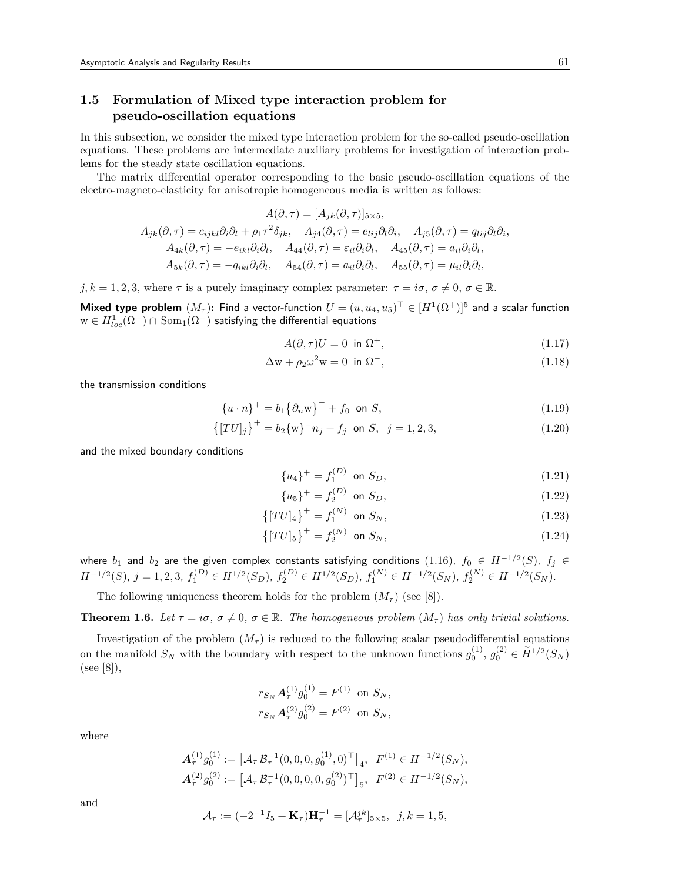## **1.5 Formulation of Mixed type interaction problem for pseudo-oscillation equations**

In this subsection, we consider the mixed type interaction problem for the so-called pseudo-oscillation equations. These problems are intermediate auxiliary problems for investigation of interaction problems for the steady state oscillation equations.

The matrix differential operator corresponding to the basic pseudo-oscillation equations of the electro-magneto-elasticity for anisotropic homogeneous media is written as follows:

$$
A(\partial, \tau) = [A_{jk}(\partial, \tau)]_{5 \times 5},
$$
  
\n
$$
A_{jk}(\partial, \tau) = c_{ijkl}\partial_i\partial_l + \rho_1 \tau^2 \delta_{jk}, \quad A_{j4}(\partial, \tau) = e_{lij}\partial_l\partial_i, \quad A_{j5}(\partial, \tau) = q_{lij}\partial_l\partial_i,
$$
  
\n
$$
A_{4k}(\partial, \tau) = -e_{ikl}\partial_i\partial_l, \quad A_{44}(\partial, \tau) = \varepsilon_{il}\partial_i\partial_l, \quad A_{45}(\partial, \tau) = a_{il}\partial_i\partial_l,
$$
  
\n
$$
A_{5k}(\partial, \tau) = -q_{ikl}\partial_i\partial_l, \quad A_{54}(\partial, \tau) = a_{il}\partial_i\partial_l, \quad A_{55}(\partial, \tau) = \mu_{il}\partial_i\partial_l,
$$

 $j, k = 1, 2, 3$ , where  $\tau$  is a purely imaginary complex parameter:  $\tau = i\sigma, \sigma \neq 0, \sigma \in \mathbb{R}$ .

 $Mixed type problem (M_{\tau})$ : Find a vector-function  $U=(u,u_4,u_5)^{\top}\in [H^1(\Omega^+)]^5$  and a scalar function  $\text{w} \in H_{loc}^1(\Omega^-) \cap \text{ Som}_1(\Omega^-)$  satisfying the differential equations

$$
A(\partial, \tau)U = 0 \text{ in } \Omega^+, \tag{1.17}
$$

$$
\Delta \mathbf{w} + \rho_2 \omega^2 \mathbf{w} = 0 \text{ in } \Omega^-, \tag{1.18}
$$

the transmission conditions

$$
\{u \cdot n\}^{+} = b_1 \{\partial_n w\}^{-} + f_0 \text{ on } S,
$$
\n(1.19)

$$
\{[TU]_j\}^+ = b_2 \{w\}^- n_j + f_j \text{ on } S, \ j = 1, 2, 3,
$$
\n(1.20)

and the mixed boundary conditions

$$
\{u_4\}^+ = f_1^{(D)} \text{ on } S_D,\tag{1.21}
$$

$$
\{u_5\}^+ = f_2^{(D)} \text{ on } S_D,
$$
\n(1.22)

$$
\{[TU]_4\}^+ = f_1^{(N)} \text{ on } S_N,
$$
\n(1.23)

$$
\{[TU]_5\}^+ = f_2^{(N)} \text{ on } S_N,\tag{1.24}
$$

where  $b_1$  and  $b_2$  are the given complex constants satisfying conditions  $(1.16)$ ,  $f_0\,\in\, H^{-1/2}(S)$ ,  $f_j\,\in\,$  $H^{-1/2}(S)$ ,  $j = 1, 2, 3$ ,  $f_1^{(D)} \in H^{1/2}(S_D)$ ,  $f_2^{(D)} \in H^{1/2}(S_D)$ ,  $f_1^{(N)} \in H^{-1/2}(S_N)$ ,  $f_2^{(N)} \in H^{-1/2}(S_N)$ .

The following uniqueness theorem holds for the problem  $(M<sub>\tau</sub>)$  (see [8]).

**Theorem 1.6.** Let  $\tau = i\sigma$ ,  $\sigma \neq 0$ ,  $\sigma \in \mathbb{R}$ . The homogeneous problem  $(M_{\tau})$  has only trivial solutions.

Investigation of the problem  $(M<sub>\tau</sub>)$  is reduced to the following scalar pseudodifferential equations on the manifold  $S_N$  with the boundary with respect to the unknown functions  $g_0^{(1)}$ ,  $g_0^{(2)} \in \widetilde{H}^{1/2}(S_N)$ (see [8]),

$$
r_{S_N} \mathbf{A}_{\tau}^{(1)} g_0^{(1)} = F^{(1)} \text{ on } S_N,
$$
  

$$
r_{S_N} \mathbf{A}_{\tau}^{(2)} g_0^{(2)} = F^{(2)} \text{ on } S_N,
$$

where

$$
\begin{aligned} \mathbf{A}_{\tau}^{(1)} g_0^{(1)} &:= \left[ \mathcal{A}_{\tau} \, \mathcal{B}_{\tau}^{-1} (0, 0, 0, g_0^{(1)}, 0)^{\top} \right]_4, \ \ F^{(1)} \in H^{-1/2}(S_N), \\ \mathbf{A}_{\tau}^{(2)} g_0^{(2)} &:= \left[ \mathcal{A}_{\tau} \, \mathcal{B}_{\tau}^{-1} (0, 0, 0, 0, g_0^{(2)})^{\top} \right]_5, \ \ F^{(2)} \in H^{-1/2}(S_N), \end{aligned}
$$

and

$$
\mathcal{A}_{\tau} := (-2^{-1}I_5 + \mathbf{K}_{\tau})\mathbf{H}_{\tau}^{-1} = [\mathcal{A}_{\tau}^{jk}]_{5 \times 5}, \ \ j, k = \overline{1, 5},
$$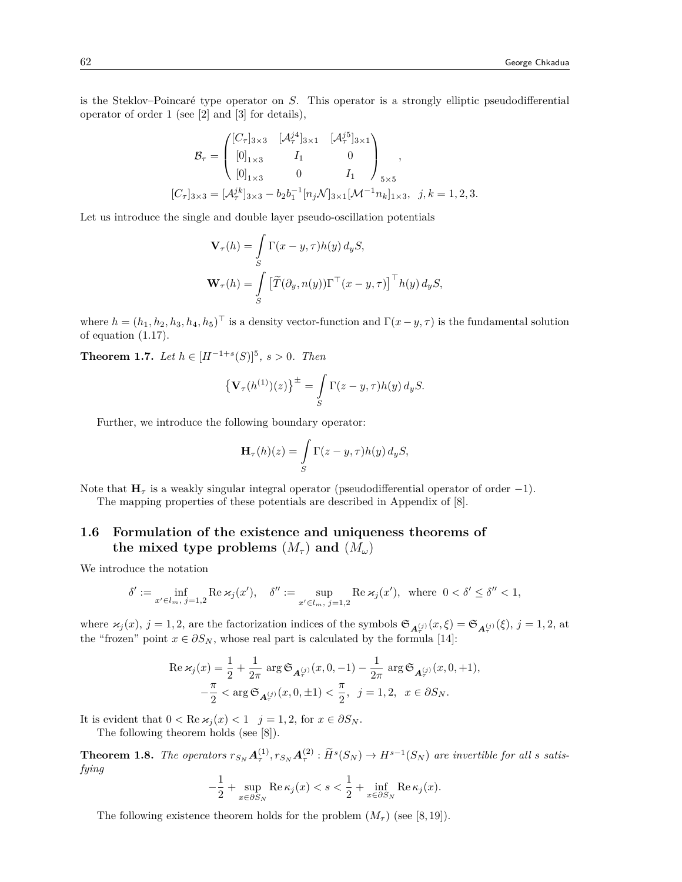is the Steklov–Poincaré type operator on *S*. This operator is a strongly elliptic pseudodifferential operator of order 1 (see [2] and [3] for details),

$$
\mathcal{B}_{\tau} = \begin{pmatrix} [C_{\tau}]_{3\times 3} & [A_{\tau}^{j4}]_{3\times 1} & [A_{\tau}^{j5}]_{3\times 1} \\ [0]_{1\times 3} & I_1 & 0 \\ [0]_{1\times 3} & 0 & I_1 \end{pmatrix}_{5\times 5},
$$

$$
[C_{\tau}]_{3\times 3} = [A_{\tau}^{jk}]_{3\times 3} - b_2 b_1^{-1} [n_j \mathcal{N}]_{3\times 1} [\mathcal{M}^{-1} n_k]_{1\times 3}, \quad j, k = 1, 2, 3.
$$

Let us introduce the single and double layer pseudo-oscillation potentials

$$
\mathbf{V}_{\tau}(h) = \int_{S} \Gamma(x - y, \tau) h(y) d_y S,
$$

$$
\mathbf{W}_{\tau}(h) = \int_{S} \left[ \tilde{T}(\partial_y, n(y)) \Gamma^{\top}(x - y, \tau) \right]^{\top} h(y) d_y S,
$$

where  $h = (h_1, h_2, h_3, h_4, h_5)$ <sup>T</sup> is a density vector-function and  $\Gamma(x - y, \tau)$  is the fundamental solution of equation (1.17).

**Theorem 1.7.** *Let*  $h \in [H^{-1+s}(S)]^5$ , *s* > 0*. Then* 

$$
\left\{ \mathbf{V}_{\tau}(h^{(1)})(z) \right\}^{\pm} = \int_{S} \Gamma(z - y, \tau) h(y) \, d_y S.
$$

Further, we introduce the following boundary operator:

$$
\mathbf{H}_{\tau}(h)(z) = \int_{S} \Gamma(z - y, \tau) h(y) \, d_y S,
$$

Note that **H***<sup>τ</sup>* is a weakly singular integral operator (pseudodifferential operator of order *−*1).

The mapping properties of these potentials are described in Appendix of [8].

### **1.6 Formulation of the existence and uniqueness theorems of the mixed type problems**  $(M_\tau)$  and  $(M_\omega)$

We introduce the notation

$$
\delta' := \inf_{x' \in l_m, j=1,2} \text{Re}\,\varkappa_j(x'), \quad \delta'' := \sup_{x' \in l_m, j=1,2} \text{Re}\,\varkappa_j(x'), \text{ where } 0 < \delta' \le \delta'' < 1,
$$

where  $\varkappa_j(x)$ ,  $j = 1, 2$ , are the factorization indices of the symbols  $\mathfrak{S}_{\mathbf{A}_{\tau}^{(j)}}(x, \xi) = \mathfrak{S}_{\mathbf{A}_{\tau}^{(j)}}(\xi)$ ,  $j = 1, 2$ , at the "frozen" point  $x \in \partial S_N$ , whose real part is calculated by the formula [14]:

Re 
$$
\kappa_j(x) = \frac{1}{2} + \frac{1}{2\pi} \arg \mathfrak{S}_{\mathbf{A}_{\tau}^{(j)}}(x, 0, -1) - \frac{1}{2\pi} \arg \mathfrak{S}_{\mathbf{A}_{\tau}^{(j)}}(x, 0, +1),
$$
  

$$
-\frac{\pi}{2} < \arg \mathfrak{S}_{\mathbf{A}_{\tau}^{(j)}}(x, 0, \pm 1) < \frac{\pi}{2}, \ \ j = 1, 2, \ \ x \in \partial S_N.
$$

It is evident that  $0 < \text{Re } x_j(x) < 1$  *j* = 1, 2, for  $x \in \partial S_N$ .

The following theorem holds (see [8]).

**Theorem 1.8.** The operators  $r_{S_N}A^{(1)}_\tau, r_{S_N}A^{(2)}_\tau : \widetilde{H}^s(S_N) \to H^{s-1}(S_N)$  are invertible for all s satis*fying*

$$
-\frac{1}{2} + \sup_{x \in \partial S_N} \text{Re}\,\kappa_j(x) < s < \frac{1}{2} + \inf_{x \in \partial S_N} \text{Re}\,\kappa_j(x).
$$

The following existence theorem holds for the problem  $(M_\tau)$  (see [8,19]).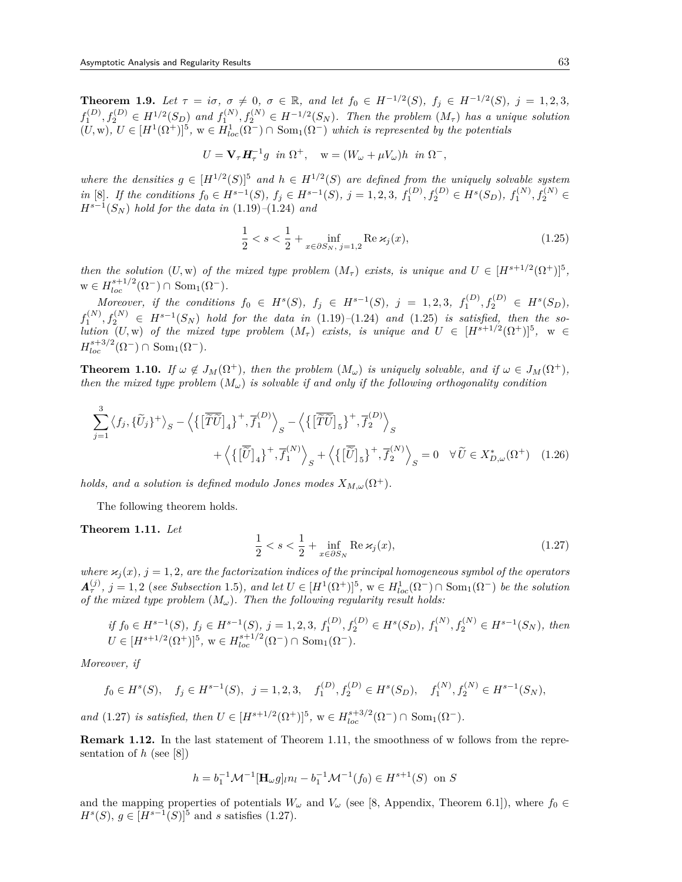**Theorem 1.9.** Let  $\tau = i\sigma$ ,  $\sigma \neq 0$ ,  $\sigma \in \mathbb{R}$ , and let  $f_0 \in H^{-1/2}(S)$ ,  $f_j \in H^{-1/2}(S)$ ,  $j = 1, 2, 3$ ,  $f_1^{(D)}, f_2^{(D)} \in H^{1/2}(S_D)$  and  $f_1^{(N)}, f_2^{(N)} \in H^{-1/2}(S_N)$ . Then the problem  $(M_\tau)$  has a unique solution  $(U, w)$ ,  $U \in [H^1(\Omega^+)]^5$ ,  $w \in H^1_{loc}(\Omega^-) \cap \text{Som}_1(\Omega^-)$  which is represented by the potentials

$$
U = \mathbf{V}_{\tau} \mathbf{H}_{\tau}^{-1} g \ \ in \ \Omega^{+}, \quad \mathbf{w} = (W_{\omega} + \mu V_{\omega})h \ \ in \ \Omega^{-},
$$

*where the densities*  $g \in [H^{1/2}(S)]^5$  *and*  $h \in H^{1/2}(S)$  *are defined from the uniquely solvable system* in [8]. If the conditions  $f_0 \in H^{s-1}(S)$ ,  $f_j \in H^{s-1}(S)$ ,  $j = 1, 2, 3$ ,  $f_1^{(D)}$ ,  $f_2^{(D)} \in H^s(S_D)$ ,  $f_1^{(N)}$ ,  $f_2^{(N)} \in H^s(S_D)$ *Hs−*<sup>1</sup> (*S<sup>N</sup>* ) *hold for the data in* (1.19)*–*(1.24) *and*

$$
\frac{1}{2} < s < \frac{1}{2} + \inf_{x \in \partial S_N, \ j = 1, 2} \text{Re } \varkappa_j(x),\tag{1.25}
$$

*then the solution*  $(U, w)$  *of the mixed type problem*  $(M<sub>\tau</sub>)$  *exists, is unique and*  $U \in [H<sup>s+1/2</sup>(\Omega<sup>+</sup>)]<sup>5</sup>$ ,  $w \in H_{loc}^{s+1/2}(\Omega^-) \cap \text{Som}_1(\Omega^-).$ 

Moreover, if the conditions  $f_0 \in H^s(S)$ ,  $f_j \in H^{s-1}(S)$ ,  $j = 1, 2, 3$ ,  $f_1^{(D)}, f_2^{(D)} \in H^s(S_D)$ ,  $f_1^{(N)}, f_2^{(N)}$  ∈  $H^{s-1}(S_N)$  hold for the data in (1.19)–(1.24) and (1.25) is satisfied, then the so*lution*  $(U, w)$  *of the mixed type problem*  $(M<sub>\tau</sub>)$  *exists, is unique and*  $U \in [H<sup>s+1/2</sup>(\Omega<sup>+</sup>)]<sup>5</sup>$ ,  $w \in$  $H_{loc}^{s+3/2}(\Omega^-) \cap \text{Som}_1(\Omega^-).$ 

**Theorem 1.10.** *If*  $\omega \notin J_M(\Omega^+),$  *then the problem*  $(M_\omega)$  *is uniquely solvable, and if*  $\omega \in J_M(\Omega^+),$ *then the mixed type problem*  $(M_\omega)$  *is solvable if and only if the following orthogonality condition* 

$$
\sum_{j=1}^{3} \langle f_j, \{\tilde{U}_j\}^+ \rangle_S - \left\langle \{\left[\tilde{\tilde{T}\tilde{U}}\right]_4\}^+, \overline{f}_1^{(D)} \right\rangle_S - \left\langle \{\left[\tilde{\tilde{T}\tilde{U}}\right]_5\}^+, \overline{f}_2^{(D)} \right\rangle_S
$$

$$
+ \left\langle \{\left[\tilde{\tilde{U}}\right]_4\}^+, \overline{f}_1^{(N)} \right\rangle_S + \left\langle \{\left[\tilde{\tilde{U}}\right]_5\}^+, \overline{f}_2^{(N)} \right\rangle_S = 0 \quad \forall \tilde{U} \in X_{D,\omega}^*(\Omega^+) \quad (1.26)
$$

*holds, and a solution is defined modulo Jones modes*  $X_{M,\omega}(\Omega^+)$ .

The following theorem holds.

**Theorem 1.11.** *Let*

$$
\frac{1}{2} < s < \frac{1}{2} + \inf_{x \in \partial S_N} \operatorname{Re} \varkappa_j(x),\tag{1.27}
$$

*where*  $\varkappa_i(x)$ ,  $j = 1, 2$ , are the factorization indices of the principal homogeneous symbol of the operators  $\mathbf{A}_{\tau}^{(j)}$ ,  $j = 1,2$  (see Subsection 1.5), and let  $U \in [H^1(\Omega^+)]^5$ ,  $w \in H^1_{loc}(\Omega^-) \cap \text{Som}_1(\Omega^-)$  be the solution *of the mixed type problem* (*Mω*)*. Then the following regularity result holds:*

if 
$$
f_0 \in H^{s-1}(S)
$$
,  $f_j \in H^{s-1}(S)$ ,  $j = 1, 2, 3$ ,  $f_1^{(D)}$ ,  $f_2^{(D)} \in H^s(S_D)$ ,  $f_1^{(N)}$ ,  $f_2^{(N)} \in H^{s-1}(S_N)$ , then  
\n $U \in [H^{s+1/2}(\Omega^+)]^5$ ,  $w \in H_{loc}^{s+1/2}(\Omega^-) \cap \text{Som}_1(\Omega^-)$ .

*Moreover, if*

$$
f_0 \in H^s(S)
$$
,  $f_j \in H^{s-1}(S)$ ,  $j = 1, 2, 3$ ,  $f_1^{(D)}, f_2^{(D)} \in H^s(S_D)$ ,  $f_1^{(N)}, f_2^{(N)} \in H^{s-1}(S_N)$ ,

*and*  $(1.27)$  *is satisfied, then*  $U \in [H^{s+1/2}(\Omega^+)]^5$ ,  $w \in H^{s+3/2}_{loc}(\Omega^-) \cap \text{Som}_1(\Omega^-)$ *.* 

**Remark 1.12.** In the last statement of Theorem 1.11, the smoothness of w follows from the representation of *h* (see [8])

$$
h = b_1^{-1} \mathcal{M}^{-1} [\mathbf{H}_{\omega} g]_{l} n_l - b_1^{-1} \mathcal{M}^{-1}(f_0) \in H^{s+1}(S) \text{ on } S
$$

and the mapping properties of potentials  $W_\omega$  and  $V_\omega$  (see [8, Appendix, Theorem 6.1]), where  $f_0 \in$ *H*<sup>*s*</sup>(*S*), *g*  $\in$  [*H*<sup>*s*−1</sup>(*S*)]<sup>5</sup> and *s* satisfies (1.27).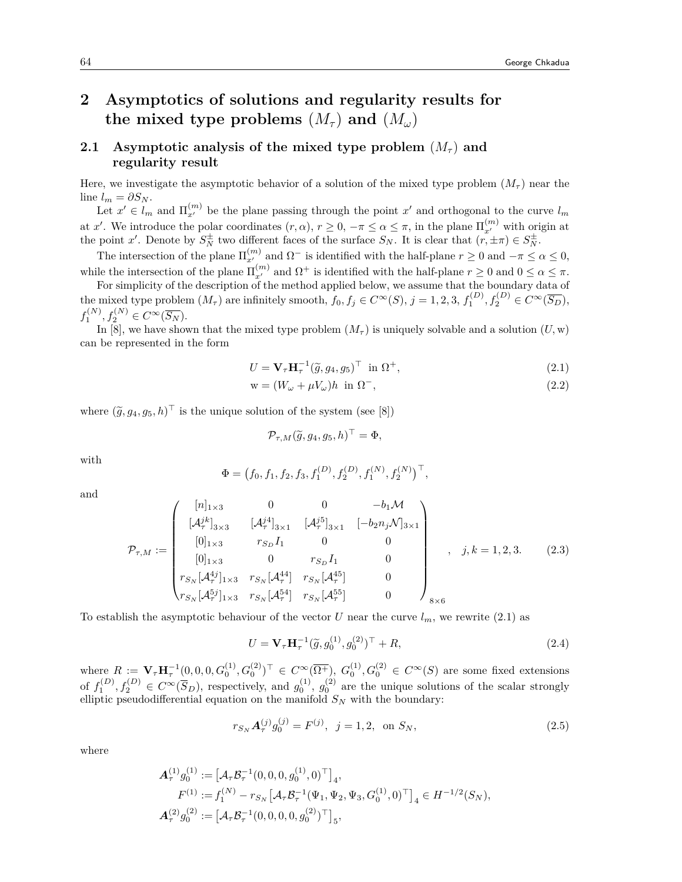# **2 Asymptotics of solutions and regularity results for the mixed type problems**  $(M_\tau)$  and  $(M_\omega)$

## **2.1** Asymptotic analysis of the mixed type problem  $(M_\tau)$  and **regularity result**

Here, we investigate the asymptotic behavior of a solution of the mixed type problem  $(M<sub>\tau</sub>)$  near the line  $l_m = \partial S_N$ .

Let  $x' \in l_m$  and  $\Pi_{x'}^{(m)}$  be the plane passing through the point  $x'$  and orthogonal to the curve  $l_m$ at *x'*. We introduce the polar coordinates  $(r, \alpha)$ ,  $r \geq 0$ ,  $-\pi \leq \alpha \leq \pi$ , in the plane  $\Pi_{x'}^{(m)}$  with origin at the point *x'*. Denote by  $S_N^{\pm}$  two different faces of the surface  $S_N$ . It is clear that  $(r, \pm \pi) \in S_N^{\pm}$ .

The intersection of the plane  $\Pi_{x'}^{(m)}$  and  $\Omega^-$  is identified with the half-plane  $r \ge 0$  and  $-\pi \le \alpha \le 0$ , while the intersection of the plane  $\Pi_{x'}^{(m)}$  and  $\Omega^+$  is identified with the half-plane  $r \geq 0$  and  $0 \leq \alpha \leq \pi$ .

For simplicity of the description of the method applied below, we assume that the boundary data of the mixed type problem  $(M_{\tau})$  are infinitely smooth,  $f_0, f_j \in C^{\infty}(S)$ ,  $j = 1, 2, 3, f_1^{(D)}, f_2^{(D)} \in C^{\infty}(\overline{S_D})$ ,  $f_1^{(N)}, f_2^{(N)} \in C^{\infty}(\overline{S_N}).$ 

In [8], we have shown that the mixed type problem  $(M<sub>\tau</sub>)$  is uniquely solvable and a solution  $(U, w)$ can be represented in the form

$$
U = \mathbf{V}_{\tau} \mathbf{H}_{\tau}^{-1} (\widetilde{g}, g_4, g_5)^{\top} \text{ in } \Omega^+, \tag{2.1}
$$

$$
\mathbf{w} = (W_{\omega} + \mu V_{\omega})h \text{ in } \Omega^{-},\tag{2.2}
$$

where  $(\tilde{g}, g_4, g_5, h)$ <sup> $\dagger$ </sup> is the unique solution of the system (see [8])

$$
\mathcal{P}_{\tau,M}(\widetilde{g},g_4,g_5,h)^\top = \Phi,
$$

with

$$
\Phi = (f_0, f_1, f_2, f_3, f_1^{(D)}, f_2^{(D)}, f_1^{(N)}, f_2^{(N)})^\top,
$$

and

$$
\mathcal{P}_{\tau,M} := \begin{pmatrix} [n]_{1\times 3} & 0 & 0 & -b_1 \mathcal{M} \\ [\mathcal{A}_{\tau}^{jk}]_{3\times 3} & [\mathcal{A}_{\tau}^{j4}]_{3\times 1} & [\mathcal{A}_{\tau}^{j5}]_{3\times 1} & [-b_2 n_j \mathcal{N}]_{3\times 1} \\ [0]_{1\times 3} & r_{S_D} I_1 & 0 & 0 \\ [0]_{1\times 3} & 0 & r_{S_D} I_1 & 0 \\ r_{S_N} [\mathcal{A}_{\tau}^{4j}]_{1\times 3} & r_{S_N} [\mathcal{A}_{\tau}^{44}] & r_{S_N} [\mathcal{A}_{\tau}^{45}] & 0 \\ r_{S_N} [\mathcal{A}_{\tau}^{5j}]_{1\times 3} & r_{S_N} [\mathcal{A}_{\tau}^{54}] & r_{S_N} [\mathcal{A}_{\tau}^{55}] & 0 \end{pmatrix}_{8\times 6}, \quad j, k = 1, 2, 3.
$$
 (2.3)

To establish the asymptotic behaviour of the vector *U* near the curve  $l_m$ , we rewrite (2.1) as

$$
U = \mathbf{V}_{\tau} \mathbf{H}_{\tau}^{-1} (\tilde{g}, g_0^{(1)}, g_0^{(2)})^{\top} + R,
$$
\n(2.4)

where  $R := \mathbf{V}_{\tau} \mathbf{H}_{\tau}^{-1}(0,0,0,G_0^{(1)},G_0^{(2)})^{\top} \in C^{\infty}(\overline{\Omega^{+}}), G_0^{(1)},G_0^{(2)} \in C^{\infty}(S)$  are some fixed extensions of  $f_1^{(D)}$ ,  $f_2^{(D)} \in C^{\infty}(\overline{S}_D)$ , respectively, and  $g_0^{(1)}$ ,  $g_0^{(2)}$  are the unique solutions of the scalar strongly elliptic pseudodifferential equation on the manifold *S<sup>N</sup>* with the boundary:

$$
r_{S_N} \mathbf{A}_{\tau}^{(j)} g_0^{(j)} = F^{(j)}, \ \ j = 1, 2, \ \text{on } S_N,
$$
\n
$$
(2.5)
$$

where

$$
\begin{aligned} \pmb{A}_\tau^{(1)}g_0^{(1)} &:= \big[\mathcal{A}_\tau\mathcal{B}_\tau^{-1}(0,0,0,g_0^{(1)},0)^\top\big]_4, \\ F^{(1)} &:= f_1^{(N)} - r_{S_N}\big[\mathcal{A}_\tau\mathcal{B}_\tau^{-1}(\Psi_1,\Psi_2,\Psi_3,G_0^{(1)},0)^\top\big]_4 \in H^{-1/2}(S_N), \\ \pmb{A}_\tau^{(2)}g_0^{(2)} &:= \big[\mathcal{A}_\tau\mathcal{B}_\tau^{-1}(0,0,0,0,g_0^{(2)})^\top\big]_5, \end{aligned}
$$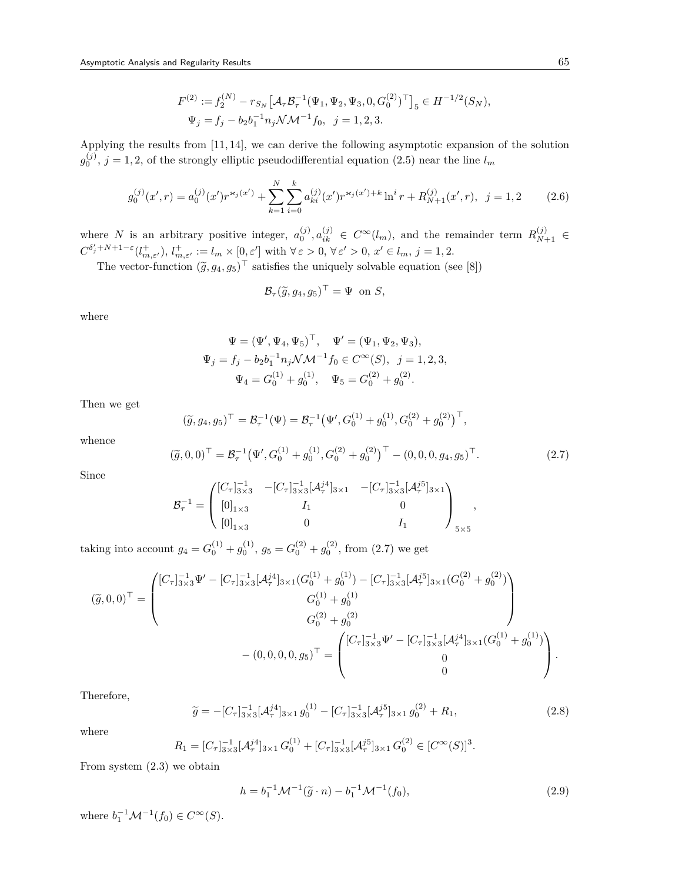$$
F^{(2)} := f_2^{(N)} - r_{S_N} \left[ \mathcal{A}_{\tau} \mathcal{B}_{\tau}^{-1} (\Psi_1, \Psi_2, \Psi_3, 0, G_0^{(2)})^{\top} \right]_5 \in H^{-1/2}(S_N),
$$
  

$$
\Psi_j = f_j - b_2 b_1^{-1} n_j \mathcal{N} \mathcal{M}^{-1} f_0, \ \ j = 1, 2, 3.
$$

Applying the results from [11, 14], we can derive the following asymptotic expansion of the solution  $g_0^{(j)}$ ,  $j = 1, 2$ , of the strongly elliptic pseudodifferential equation (2.5) near the line  $l_m$ 

$$
g_0^{(j)}(x',r) = a_0^{(j)}(x')r^{\varkappa_j(x')} + \sum_{k=1}^N \sum_{i=0}^k a_{ki}^{(j)}(x')r^{\varkappa_j(x')+k} \ln^i r + R_{N+1}^{(j)}(x',r), \ \ j = 1,2 \tag{2.6}
$$

where *N* is an arbitrary positive integer,  $a_0^{(j)}$ ,  $a_{ik}^{(j)} \in C^\infty(l_m)$ , and the remainder term  $R_{N+1}^{(j)} \in$  $C^{\delta'_j+N+1-\varepsilon}(l^+_{m,\varepsilon'}),\,l^+_{m,\varepsilon'}:=l_m\times[0,\varepsilon']$  with  $\forall \varepsilon>0, \,\forall \varepsilon'>0,\,x'\in l_m,\,j=1,2.$ 

The vector-function  $(\tilde{g}, g_4, g_5)^\top$  satisfies the uniquely solvable equation (see [8])

$$
\mathcal{B}_{\tau}(\widetilde{g}, g_4, g_5)^{\top} = \Psi \text{ on } S,
$$

where

$$
\Psi = (\Psi', \Psi_4, \Psi_5)^\top, \quad \Psi' = (\Psi_1, \Psi_2, \Psi_3),
$$
  

$$
\Psi_j = f_j - b_2 b_1^{-1} n_j \mathcal{N} \mathcal{M}^{-1} f_0 \in C^\infty(S), \quad j = 1, 2, 3,
$$
  

$$
\Psi_4 = G_0^{(1)} + g_0^{(1)}, \quad \Psi_5 = G_0^{(2)} + g_0^{(2)}.
$$

Then we get

$$
(\tilde{g}, g_4, g_5)^{\top} = \mathcal{B}_{\tau}^{-1}(\Psi) = \mathcal{B}_{\tau}^{-1}(\Psi', G_0^{(1)} + g_0^{(1)}, G_0^{(2)} + g_0^{(2)})^{\top},
$$

whence

$$
(\tilde{g}, 0, 0)^{\top} = \mathcal{B}_{\tau}^{-1} (\Psi', G_0^{(1)} + g_0^{(1)}, G_0^{(2)} + g_0^{(2)})^{\top} - (0, 0, 0, g_4, g_5)^{\top}.
$$
 (2.7)

Since

$$
\mathcal{B}_{\tau}^{-1} = \begin{pmatrix} [C_{\tau}]_{3\times 3}^{-1} & -[C_{\tau}]_{3\times 3}^{-1}[\mathcal{A}_{\tau}^{j4}]_{3\times 1} & -[C_{\tau}]_{3\times 3}^{-1}[\mathcal{A}_{\tau}^{j5}]_{3\times 1} \\ [0]_{1\times 3} & I_{1} & 0 \\ [0]_{1\times 3} & 0 & I_{1} \end{pmatrix}_{5\times 5},
$$

taking into account  $g_4 = G_0^{(1)} + g_0^{(1)}$ ,  $g_5 = G_0^{(2)} + g_0^{(2)}$ , from (2.7) we get

$$
\left(\widetilde{g},0,0\right)^{\top} = \begin{pmatrix} \left[C_{\tau}\right]_{3\times3}^{-1}\Psi' - \left[C_{\tau}\right]_{3\times3}^{-1}\left(A_{\tau}^{j4}\right]_{3\times1}\left(G_{0}^{(1)} + g_{0}^{(1)}\right) - \left[C_{\tau}\right]_{3\times3}^{-1}\left(A_{\tau}^{j5}\right]_{3\times1}\left(G_{0}^{(2)} + g_{0}^{(2)}\right) \\ G_{0}^{(1)} + g_{0}^{(1)} \\ G_{0}^{(2)} + g_{0}^{(2)} \end{pmatrix} \\ - \left(0,0,0,0,g_{5}\right)^{\top} = \begin{pmatrix} \left[C_{\tau}\right]_{3\times3}^{-1}\Psi' - \left[C_{\tau}\right]_{3\times3}^{-1}\left(A_{\tau}^{j4}\right]_{3\times1}\left(G_{0}^{(1)} + g_{0}^{(1)}\right) \\ 0 \\ 0 \end{pmatrix}.
$$

Therefore,

$$
\widetilde{g} = -[C_{\tau}]_{3\times 3}^{-1}[\mathcal{A}_{\tau}^{j4}]_{3\times 1} g_0^{(1)} - [C_{\tau}]_{3\times 3}^{-1}[\mathcal{A}_{\tau}^{j5}]_{3\times 1} g_0^{(2)} + R_1,
$$
\n(2.8)

where

$$
R_1 = [C_{\tau}]_{3\times 3}^{-1} [\mathcal{A}_{\tau}^{j4}]_{3\times 1} G_0^{(1)} + [C_{\tau}]_{3\times 3}^{-1} [\mathcal{A}_{\tau}^{j5}]_{3\times 1} G_0^{(2)} \in [C^{\infty}(S)]^3.
$$

From system (2.3) we obtain

$$
h = b_1^{-1} \mathcal{M}^{-1}(\tilde{g} \cdot n) - b_1^{-1} \mathcal{M}^{-1}(f_0),
$$
\n(2.9)

 $\text{where } b_1^{-1} \mathcal{M}^{-1}(f_0) \in C^\infty(S).$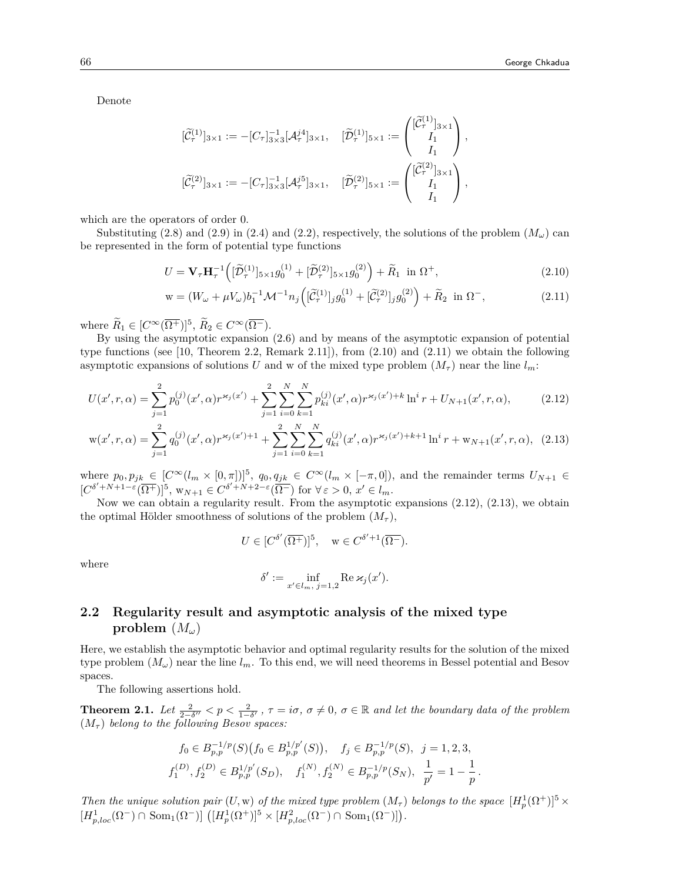Denote

$$
[\widetilde{\mathcal{C}}_{\tau}^{(1)}]_{3\times 1} := -[C_{\tau}]_{3\times 3}^{-1}[\mathcal{A}_{\tau}^{j4}]_{3\times 1}, \quad [\widetilde{\mathcal{D}}_{\tau}^{(1)}]_{5\times 1} := \begin{pmatrix} [\widetilde{\mathcal{C}}_{\tau}^{(1)}]_{3\times 1} \\ I_1 \\ I_1 \end{pmatrix},
$$
  

$$
[\widetilde{\mathcal{C}}_{\tau}^{(2)}]_{3\times 1} := -[C_{\tau}]_{3\times 3}^{-1}[\mathcal{A}_{\tau}^{j5}]_{3\times 1}, \quad [\widetilde{\mathcal{D}}_{\tau}^{(2)}]_{5\times 1} := \begin{pmatrix} [\widetilde{\mathcal{C}}_{\tau}^{(2)}]_{3\times 1} \\ I_1 \\ I_1 \end{pmatrix},
$$

which are the operators of order 0.

Substituting (2.8) and (2.9) in (2.4) and (2.2), respectively, the solutions of the problem  $(M_\omega)$  can be represented in the form of potential type functions

$$
U = \mathbf{V}_{\tau} \mathbf{H}_{\tau}^{-1} \left( [\widetilde{\mathcal{D}}_{\tau}^{(1)}]_{5 \times 1} g_0^{(1)} + [\widetilde{\mathcal{D}}_{\tau}^{(2)}]_{5 \times 1} g_0^{(2)} \right) + \widetilde{R}_1 \text{ in } \Omega^+, \tag{2.10}
$$

$$
\mathbf{w} = (W_{\omega} + \mu V_{\omega})b_1^{-1}\mathcal{M}^{-1}n_j\left([\tilde{\mathcal{C}}_r^{(1)}]_jg_0^{(1)} + [\tilde{\mathcal{C}}_r^{(2)}]_jg_0^{(2)}\right) + \tilde{R}_2 \text{ in } \Omega^-,
$$
\n(2.11)

where  $\widetilde{R}_1 \in [C^{\infty}(\overline{\Omega^+})]^5$ ,  $\widetilde{R}_2 \in C^{\infty}(\overline{\Omega^-})$ .

By using the asymptotic expansion (2.6) and by means of the asymptotic expansion of potential type functions (see [10, Theorem 2.2, Remark 2.11]), from (2.10) and (2.11) we obtain the following asymptotic expansions of solutions *U* and w of the mixed type problem  $(M_\tau)$  near the line  $l_m$ :

$$
U(x',r,\alpha) = \sum_{j=1}^{2} p_0^{(j)}(x',\alpha) r^{\varkappa_j(x')} + \sum_{j=1}^{2} \sum_{i=0}^{N} \sum_{k=1}^{N} p_{ki}^{(j)}(x',\alpha) r^{\varkappa_j(x')+k} \ln^i r + U_{N+1}(x',r,\alpha),\tag{2.12}
$$

$$
\mathbf{w}(x',r,\alpha) = \sum_{j=1}^{2} q_0^{(j)}(x',\alpha) r^{\varkappa_j(x')+1} + \sum_{j=1}^{2} \sum_{i=0}^{N} \sum_{k=1}^{N} q_{ki}^{(j)}(x',\alpha) r^{\varkappa_j(x')+k+1} \ln^i r + \mathbf{w}_{N+1}(x',r,\alpha), \tag{2.13}
$$

where  $p_0, p_{jk} \in [C^{\infty}(l_m \times [0, \pi])]^5$ ,  $q_0, q_{jk} \in C^{\infty}(l_m \times [-\pi, 0])$ , and the remainder terms  $U_{N+1} \in$  $[C^{\delta'+N+1-\epsilon}(\overline{\Omega^+})]^5$ ,  $w_{N+1} \in C^{\delta'+N+2-\epsilon}(\overline{\Omega^-})$  for  $\forall \varepsilon > 0$ ,  $x' \in l_m$ .

Now we can obtain a regularity result. From the asymptotic expansions (2.12), (2.13), we obtain the optimal Hölder smoothness of solutions of the problem  $(M_\tau)$ ,

$$
U \in [C^{\delta'}(\overline{\Omega^+})]^5, \quad w \in C^{\delta'+1}(\overline{\Omega^-}).
$$

where

$$
\delta' := \inf_{x' \in l_m, j=1,2} \operatorname{Re} \varkappa_j(x').
$$

## **2.2 Regularity result and asymptotic analysis of the mixed type problem** (*Mω*)

Here, we establish the asymptotic behavior and optimal regularity results for the solution of the mixed type problem  $(M_\omega)$  near the line  $l_m$ . To this end, we will need theorems in Bessel potential and Besov spaces.

The following assertions hold.

**Theorem 2.1.** Let  $\frac{2}{2-\delta''} < p < \frac{2}{1-\delta'}$ ,  $\tau = i\sigma$ ,  $\sigma \neq 0$ ,  $\sigma \in \mathbb{R}$  and let the boundary data of the problem  $(M_{\tau})$  belong to the following Besov spaces:

$$
f_0 \in B_{p,p}^{-1/p}(S) \left( f_0 \in B_{p,p}^{1/p'}(S) \right), \quad f_j \in B_{p,p}^{-1/p}(S), \quad j = 1, 2, 3,
$$
  

$$
f_1^{(D)}, f_2^{(D)} \in B_{p,p}^{1/p'}(S_D), \quad f_1^{(N)}, f_2^{(N)} \in B_{p,p}^{-1/p}(S_N), \quad \frac{1}{p'} = 1 - \frac{1}{p}.
$$

*Then the unique solution pair*  $(U, w)$  *of the mixed type problem*  $(M<sub>\tau</sub>)$  *belongs to the space*  $[H<sub>p</sub><sup>1</sup>(\Omega<sup>+</sup>)]<sup>5</sup> \times$  $[H_{p,loc}^1(\Omega^-) \cap \text{ Som}_1(\Omega^-)] \left( [H_p^1(\Omega^+)]^5 \times [H_{p,loc}^2(\Omega^-) \cap \text{ Som}_1(\Omega^-)] \right)$ .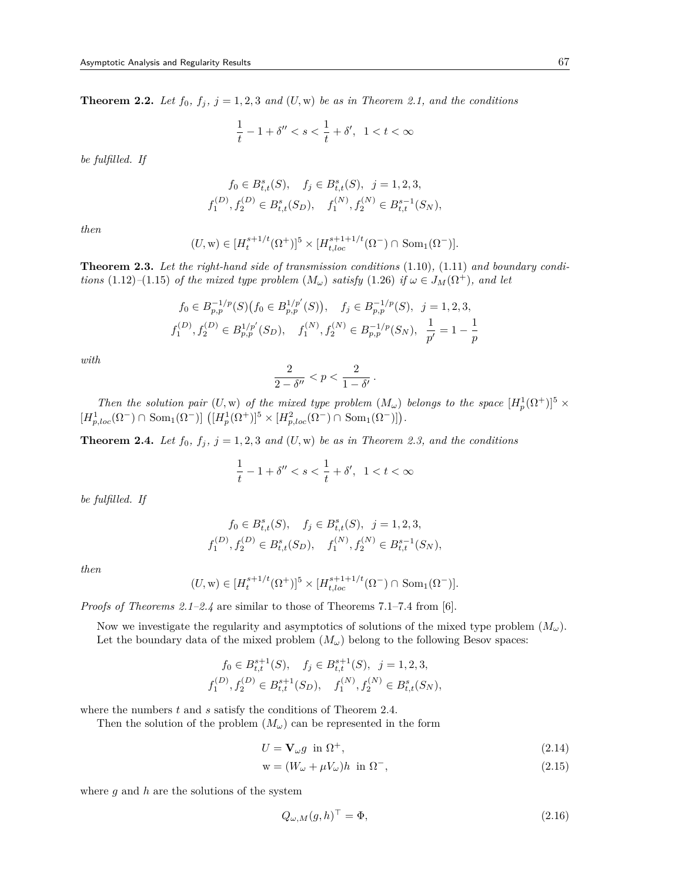**Theorem 2.2.** *Let*  $f_0$ ,  $f_j$ ,  $j = 1, 2, 3$  *and*  $(U, w)$  *be as in Theorem 2.1, and the conditions* 

$$
\frac{1}{t} - 1 + \delta'' < s < \frac{1}{t} + \delta', \ \ 1 < t < \infty
$$

*be fulfilled. If*

$$
f_0 \in B_{t,t}^s(S), \quad f_j \in B_{t,t}^s(S), \quad j = 1, 2, 3,
$$
  

$$
f_1^{(D)}, f_2^{(D)} \in B_{t,t}^s(S_D), \quad f_1^{(N)}, f_2^{(N)} \in B_{t,t}^{s-1}(S_N),
$$

*then*

$$
(U, w) \in [H_t^{s+1/t}(\Omega^+)]^5 \times [H_{t, loc}^{s+1+1/t}(\Omega^-) \cap \text{ Som}_1(\Omega^-)].
$$

**Theorem 2.3.** *Let the right-hand side of transmission conditions* (1.10)*,* (1.11) *and boundary conditions* (1.12)–(1.15) *of the mixed type problem*  $(M_\omega)$  *satisfy* (1.26) *if*  $\omega \in J_M(\Omega^+)$ *, and let* 

$$
f_0 \in B_{p,p}^{-1/p}(S) \big(f_0 \in B_{p,p}^{1/p'}(S)\big), \quad f_j \in B_{p,p}^{-1/p}(S), \quad j = 1, 2, 3,
$$
  

$$
f_1^{(D)}, f_2^{(D)} \in B_{p,p}^{1/p'}(S_D), \quad f_1^{(N)}, f_2^{(N)} \in B_{p,p}^{-1/p}(S_N), \quad \frac{1}{p'} = 1 - \frac{1}{p}
$$

*with*

$$
\frac{2}{2-\delta''} < p < \frac{2}{1-\delta'}.
$$

*Then the solution pair*  $(U, w)$  *of the mixed type problem*  $(M_\omega)$  *belongs to the space*  $[H_p^1(\Omega^+)]^5 \times$  $[H_{p,loc}^{1}(\Omega^{-}) \cap \text{ Som}_{1}(\Omega^{-})] \left( [H_{p}^{1}(\Omega^{+})]^{5} \times [H_{p,loc}^{2}(\Omega^{-}) \cap \text{ Som}_{1}(\Omega^{-})] \right)$ .

**Theorem 2.4.** *Let*  $f_0$ ,  $f_j$ ,  $j = 1, 2, 3$  *and*  $(U, w)$  *be as in Theorem 2.3, and the conditions* 

$$
\frac{1}{t} - 1 + \delta'' < s < \frac{1}{t} + \delta', \ \ 1 < t < \infty
$$

*be fulfilled. If*

$$
f_0 \in B_{t,t}^s(S), \quad f_j \in B_{t,t}^s(S), \quad j = 1, 2, 3,
$$
  

$$
f_1^{(D)}, f_2^{(D)} \in B_{t,t}^s(S_D), \quad f_1^{(N)}, f_2^{(N)} \in B_{t,t}^{s-1}(S_N),
$$

*then*

$$
(U, w) \in [H_t^{s+1/t}(\Omega^+)]^5 \times [H_{t, loc}^{s+1+1/t}(\Omega^-) \cap \text{Som}_1(\Omega^-)].
$$

*Proofs of Theorems 2.1–2.4* are similar to those of Theorems 7.1–7.4 from [6].

Now we investigate the regularity and asymptotics of solutions of the mixed type problem (*Mω*). Let the boundary data of the mixed problem  $(M_\omega)$  belong to the following Besov spaces:

$$
f_0 \in B_{t,t}^{s+1}(S), \quad f_j \in B_{t,t}^{s+1}(S), \quad j = 1, 2, 3,
$$
  

$$
f_1^{(D)}, f_2^{(D)} \in B_{t,t}^{s+1}(S_D), \quad f_1^{(N)}, f_2^{(N)} \in B_{t,t}^s(S_N),
$$

where the numbers *t* and *s* satisfy the conditions of Theorem 2.4.

Then the solution of the problem  $(M_\omega)$  can be represented in the form

$$
U = \mathbf{V}_{\omega} g \text{ in } \Omega^{+},\tag{2.14}
$$

$$
\mathbf{w} = (W_{\omega} + \mu V_{\omega})h \text{ in } \Omega^{-},\tag{2.15}
$$

where *g* and *h* are the solutions of the system

$$
Q_{\omega,M}(g,h)^\top = \Phi,\tag{2.16}
$$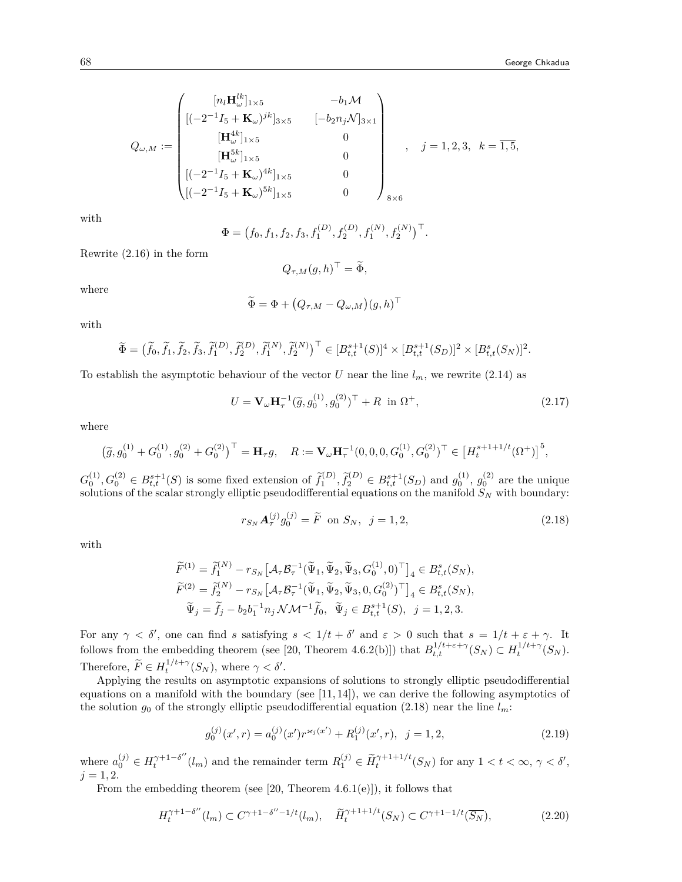$$
Q_{\omega,M} := \begin{pmatrix} [n_l \mathbf{H}_{\omega}^{lk}]_{1\times5} & -b_1 \mathcal{M} \\ [(-2^{-1}I_5 + \mathbf{K}_{\omega})^{jk}]_{3\times5} & [-b_2 n_j \mathcal{N}]_{3\times1} \\ [\mathbf{H}_{\omega}^{4k}]_{1\times5} & 0 \\ [ \mathbf{H}_{\omega}^{5k}]_{1\times5} & 0 \\ [(-2^{-1}I_5 + \mathbf{K}_{\omega})^{4k}]_{1\times5} & 0 \\ [(-2^{-1}I_5 + \mathbf{K}_{\omega})^{5k}]_{1\times5} & 0 \end{pmatrix}_{8\times6}, \quad j = 1, 2, 3, \quad k = \overline{1, 5},
$$

with

$$
\Phi = (f_0, f_1, f_2, f_3, f_1^{(D)}, f_2^{(D)}, f_1^{(N)}, f_2^{(N)})^\top.
$$

Rewrite (2.16) in the form

$$
Q_{\tau,M}(g,h)^{\top} = \widetilde{\Phi},
$$

where

$$
\widetilde{\Phi} = \Phi + (Q_{\tau,M} - Q_{\omega,M})(g,h)^\top
$$

with

$$
\widetilde{\Phi} = (\widetilde{f}_0, \widetilde{f}_1, \widetilde{f}_2, \widetilde{f}_3, \widetilde{f}_1^{(D)}, \widetilde{f}_2^{(D)}, \widetilde{f}_1^{(N)}, \widetilde{f}_2^{(N)})^\top \in [B_{t,t}^{s+1}(S)]^4 \times [B_{t,t}^{s+1}(S_D)]^2 \times [B_{t,t}^s(S_N)]^2.
$$

To establish the asymptotic behaviour of the vector *U* near the line  $l_m$ , we rewrite (2.14) as

$$
U = \mathbf{V}_{\omega} \mathbf{H}_{\tau}^{-1} (\tilde{g}, g_0^{(1)}, g_0^{(2)})^{\top} + R \text{ in } \Omega^+, \tag{2.17}
$$

where

$$
\left(\tilde{g},g_0^{(1)}+G_0^{(1)},g_0^{(2)}+G_0^{(2)}\right)^\top=\mathbf{H}_\tau g,\quad R:=\mathbf{V}_\omega\mathbf{H}_\tau^{-1}\big(0,0,0,G_0^{(1)},G_0^{(2)}\big)^\top\in\big[H_t^{s+1+1/t}(\Omega^+)\big]^5,
$$

 $G_0^{(1)}, G_0^{(2)} \in B_{t,t}^{s+1}(S)$  is some fixed extension of  $\tilde{f}_1^{(D)}, \tilde{f}_2^{(D)} \in B_{t,t}^{s+1}(S_D)$  and  $g_0^{(1)}, g_0^{(2)}$  are the unique solutions of the scalar strongly elliptic pseudodifferential equations on the manifold *S<sup>N</sup>* with boundary:

$$
r_{S_N} \mathbf{A}_{\tau}^{(j)} g_0^{(j)} = \tilde{F} \text{ on } S_N, \ \ j = 1, 2,
$$
\n(2.18)

with

$$
\widetilde{F}^{(1)} = \widetilde{f}_1^{(N)} - r_{S_N} \left[ \mathcal{A}_{\tau} \mathcal{B}_{\tau}^{-1} (\widetilde{\Psi}_1, \widetilde{\Psi}_2, \widetilde{\Psi}_3, G_0^{(1)}, 0)^{\top} \right]_4 \in B_{t,t}^s(S_N), \n\widetilde{F}^{(2)} = \widetilde{f}_2^{(N)} - r_{S_N} \left[ \mathcal{A}_{\tau} \mathcal{B}_{\tau}^{-1} (\widetilde{\Psi}_1, \widetilde{\Psi}_2, \widetilde{\Psi}_3, 0, G_0^{(2)})^{\top} \right]_4 \in B_{t,t}^s(S_N), \n\widetilde{\Psi}_j = \widetilde{f}_j - b_2 b_1^{-1} n_j \mathcal{N} \mathcal{M}^{-1} \widetilde{f}_0, \widetilde{\Psi}_j \in B_{t,t}^{s+1}(S), j = 1, 2, 3.
$$

For any  $\gamma < \delta'$ , one can find *s* satisfying  $s < 1/t + \delta'$  and  $\varepsilon > 0$  such that  $s = 1/t + \varepsilon + \gamma$ . It follows from the embedding theorem (see [20, Theorem 4.6.2(b)]) that  $B_{t,t}^{1/t+\varepsilon+\gamma}(S_N) \subset H_t^{1/t+\gamma}(S_N)$ . Therefore,  $\widetilde{F} \in H_t^{1/t + \gamma}(S_N)$ , where  $\gamma < \delta'$ .

Applying the results on asymptotic expansions of solutions to strongly elliptic pseudodifferential equations on a manifold with the boundary (see  $[11, 14]$ ), we can derive the following asymptotics of the solution  $g_0$  of the strongly elliptic pseudodifferential equation (2.18) near the line  $l_m$ :

$$
g_0^{(j)}(x',r) = a_0^{(j)}(x')r^{\varkappa_j(x')} + R_1^{(j)}(x',r), \ \ j = 1,2,
$$
\n(2.19)

where  $a_0^{(j)} \in H_t^{\gamma+1-\delta''}(l_m)$  and the remainder term  $R_1^{(j)} \in \widetilde{H}_t^{\gamma+1+1/t}(S_N)$  for any  $1 < t < \infty$ ,  $\gamma < \delta'$ ,  $j = 1, 2.$ 

From the embedding theorem (see [20, Theorem 4.6.1(e)]), it follows that

$$
H_t^{\gamma+1-\delta''}(l_m) \subset C^{\gamma+1-\delta''-1/t}(l_m), \quad \widetilde{H}_t^{\gamma+1+1/t}(S_N) \subset C^{\gamma+1-1/t}(\overline{S_N}),\tag{2.20}
$$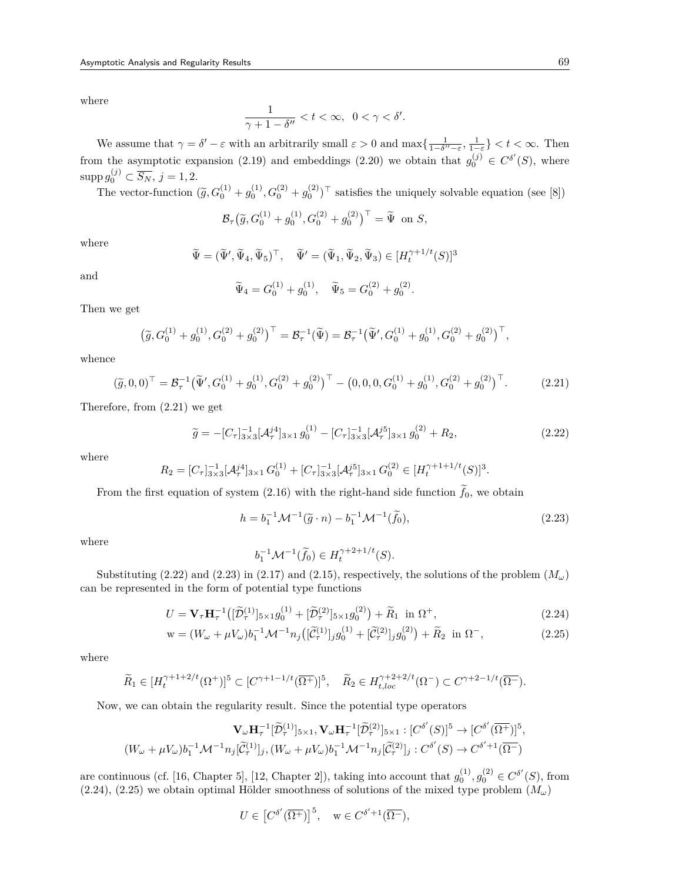where

$$
\frac{1}{\gamma+1-\delta''}
$$

We assume that  $\gamma = \delta' - \varepsilon$  with an arbitrarily small  $\varepsilon > 0$  and  $\max\{\frac{1}{1-\delta''-\varepsilon}, \frac{1}{1-\varepsilon}\} < t < \infty$ . Then from the asymptotic expansion (2.19) and embeddings (2.20) we obtain that  $g_0^{(j)} \in C^{\delta'}(S)$ , where  $\sup p g_0^{(j)} \subset \overline{S_N}, j = 1, 2.$ 

The vector-function  $(\tilde{g}, G_0^{(1)} + g_0^{(1)}, G_0^{(2)} + g_0^{(2)})^\top$  satisfies the uniquely solvable equation (see [8])

$$
\mathcal{B}_{\tau}\big(\widetilde{g}, G_0^{(1)} + g_0^{(1)}, G_0^{(2)} + g_0^{(2)}\big)^{\top} = \widetilde{\Psi} \text{ on } S,
$$

where

$$
\widetilde{\Psi} = (\widetilde{\Psi}', \widetilde{\Psi}_4, \widetilde{\Psi}_5)^{\top}, \quad \widetilde{\Psi}' = (\widetilde{\Psi}_1, \widetilde{\Psi}_2, \widetilde{\Psi}_3) \in [H_t^{\gamma+1/t}(S)]^3
$$

and

$$
\widetilde{\Psi}_4 = G_0^{(1)} + g_0^{(1)}, \quad \widetilde{\Psi}_5 = G_0^{(2)} + g_0^{(2)}.
$$

Then we get

$$
\left(\widetilde{g}, G_0^{(1)} + g_0^{(1)}, G_0^{(2)} + g_0^{(2)}\right)^{\top} = \mathcal{B}_{\tau}^{-1}(\widetilde{\Psi}) = \mathcal{B}_{\tau}^{-1}(\widetilde{\Psi}', G_0^{(1)} + g_0^{(1)}, G_0^{(2)} + g_0^{(2)})^{\top},
$$

whence

$$
(\widetilde{g}, 0, 0)^{\top} = \mathcal{B}_{\tau}^{-1} (\widetilde{\Psi}', G_0^{(1)} + g_0^{(1)}, G_0^{(2)} + g_0^{(2)})^{\top} - (0, 0, 0, G_0^{(1)} + g_0^{(1)}, G_0^{(2)} + g_0^{(2)})^{\top}.
$$
 (2.21)

Therefore, from (2.21) we get

$$
\widetilde{g} = -[C_{\tau}]_{3\times 3}^{-1}[\mathcal{A}_{\tau}^{j4}]_{3\times 1} g_0^{(1)} - [C_{\tau}]_{3\times 3}^{-1}[\mathcal{A}_{\tau}^{j5}]_{3\times 1} g_0^{(2)} + R_2,
$$
\n(2.22)

where

$$
R_2 = [C_\tau]_{3\times 3}^{-1} [\mathcal{A}_{\tau}^{j4}]_{3\times 1} G_0^{(1)} + [C_\tau]_{3\times 3}^{-1} [\mathcal{A}_{\tau}^{j5}]_{3\times 1} G_0^{(2)} \in [H_t^{\gamma+1+1/t}(S)]^3.
$$

From the first equation of system  $(2.16)$  with the right-hand side function  $f_0$ , we obtain

$$
h = b_1^{-1} \mathcal{M}^{-1}(\tilde{g} \cdot n) - b_1^{-1} \mathcal{M}^{-1}(\tilde{f}_0),
$$
\n(2.23)

where

$$
b_1^{-1} \mathcal{M}^{-1}(\widetilde{f}_0) \in H_t^{\gamma + 2 + 1/t}(S).
$$

Substituting (2.22) and (2.23) in (2.17) and (2.15), respectively, the solutions of the problem  $(M_{\omega})$ can be represented in the form of potential type functions

$$
U = \mathbf{V}_{\tau} \mathbf{H}_{\tau}^{-1} \left( [\widetilde{\mathcal{D}}_{\tau}^{(1)}]_{5 \times 1} g_0^{(1)} + [\widetilde{\mathcal{D}}_{\tau}^{(2)}]_{5 \times 1} g_0^{(2)} \right) + \widetilde{R}_1 \text{ in } \Omega^+, \tag{2.24}
$$

$$
\mathbf{w} = (W_{\omega} + \mu V_{\omega})b_1^{-1}\mathcal{M}^{-1}n_j\left([\tilde{\mathcal{C}}_{\tau}^{(1)}]_jg_0^{(1)} + [\tilde{\mathcal{C}}_{\tau}^{(2)}]_jg_0^{(2)}\right) + \tilde{R}_2 \text{ in } \Omega^-,
$$
\n(2.25)

where

$$
\widetilde{R}_1\in [H_t^{\gamma+1+2/t}(\Omega^+)]^5\subset [C^{\gamma+1-1/t}(\overline{\Omega^+})]^5,\quad \widetilde{R}_2\in H^{\gamma+2+2/t}_{t,loc}(\Omega^-)\subset C^{\gamma+2-1/t}(\overline{\Omega^-}).
$$

Now, we can obtain the regularity result. Since the potential type operators

$$
\mathbf{V}_{\omega} \mathbf{H}_{\tau}^{-1} [\widetilde{\mathcal{D}}_{\tau}^{(1)}]_{5\times 1}, \mathbf{V}_{\omega} \mathbf{H}_{\tau}^{-1} [\widetilde{\mathcal{D}}_{\tau}^{(2)}]_{5\times 1} : [C^{\delta'}(S)]^{5} \to [C^{\delta'}(\overline{\Omega^{+}})]^{5},
$$
  

$$
(W_{\omega} + \mu V_{\omega})b_{1}^{-1} \mathcal{M}^{-1} n_{j} [\widetilde{\mathcal{C}}_{\tau}^{(1)}]_{j}, (W_{\omega} + \mu V_{\omega})b_{1}^{-1} \mathcal{M}^{-1} n_{j} [\widetilde{\mathcal{C}}_{\tau}^{(2)}]_{j} : C^{\delta'}(S) \to C^{\delta'+1}(\overline{\Omega^{-}})
$$

are continuous (cf. [16, Chapter 5], [12, Chapter 2]), taking into account that  $g_0^{(1)}, g_0^{(2)} \in C^{\delta'}(S)$ , from  $(2.24)$ ,  $(2.25)$  we obtain optimal Hölder smoothness of solutions of the mixed type problem  $(M_\omega)$ 

$$
U\in \left[C^{\delta'}(\overline{\Omega^+})\right]^5, \quad \mathrm{w}\in C^{\delta'+1}(\overline{\Omega^-}),
$$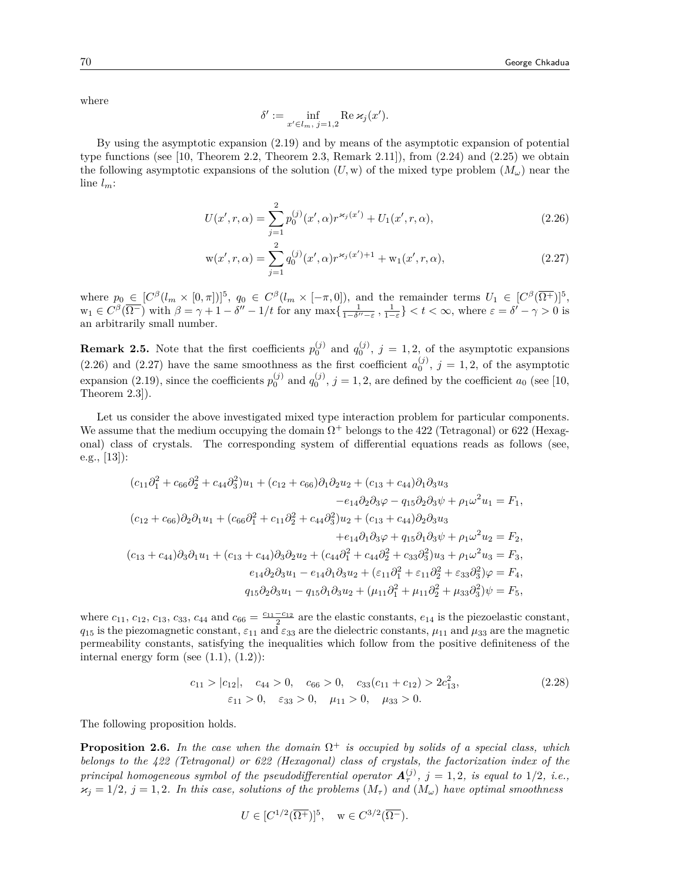where

$$
\delta' := \inf_{x' \in l_m, j=1,2} \text{Re } \varkappa_j(x').
$$

By using the asymptotic expansion (2.19) and by means of the asymptotic expansion of potential type functions (see  $[10,$  Theorem 2.2, Theorem 2.3, Remark 2.11]), from  $(2.24)$  and  $(2.25)$  we obtain the following asymptotic expansions of the solution  $(U, w)$  of the mixed type problem  $(M_\omega)$  near the line *lm*:

$$
U(x',r,\alpha) = \sum_{j=1}^{2} p_0^{(j)}(x',\alpha) r^{\varkappa_j(x')} + U_1(x',r,\alpha),\tag{2.26}
$$

$$
\mathbf{w}(x',r,\alpha) = \sum_{j=1}^{2} q_0^{(j)}(x',\alpha) r^{\varkappa_j(x')+1} + \mathbf{w}_1(x',r,\alpha),\tag{2.27}
$$

where  $p_0 \in [C^{\beta}(l_m \times [0,\pi])]$ <sup>5</sup>,  $q_0 \in C^{\beta}(l_m \times [-\pi,0])$ , and the remainder terms  $U_1 \in [C^{\beta}(\overline{\Omega^+})]$ <sup>5</sup>,  $w_1 \in C^{\beta}(\overline{\Omega^-})$  with  $\beta = \gamma + 1 - \delta'' - 1/t$  for any  $\max\{\frac{1}{1-\delta''-\varepsilon}, \frac{1}{1-\varepsilon}\} < t < \infty$ , where  $\varepsilon = \delta' - \gamma > 0$  is an arbitrarily small number.

**Remark 2.5.** Note that the first coefficients  $p_0^{(j)}$  and  $q_0^{(j)}$ ,  $j = 1, 2$ , of the asymptotic expansions  $(2.26)$  and  $(2.27)$  have the same smoothness as the first coefficient  $a_0^{(j)}$ ,  $j = 1, 2$ , of the asymptotic expansion (2.19), since the coefficients  $p_0^{(j)}$  and  $q_0^{(j)}$ ,  $j = 1, 2$ , are defined by the coefficient  $a_0$  (see [10, Theorem 2.3]).

Let us consider the above investigated mixed type interaction problem for particular components. We assume that the medium occupying the domain  $\Omega^+$  belongs to the 422 (Tetragonal) or 622 (Hexagonal) class of crystals. The corresponding system of differential equations reads as follows (see, e.g., [13]):

$$
(c_{11}\partial_1^2 + c_{66}\partial_2^2 + c_{44}\partial_3^2)u_1 + (c_{12} + c_{66})\partial_1\partial_2u_2 + (c_{13} + c_{44})\partial_1\partial_3u_3
$$
  
\n
$$
-e_{14}\partial_2\partial_3\varphi - q_{15}\partial_2\partial_3\psi + \rho_1\omega^2u_1 = F_1,
$$
  
\n
$$
(c_{12} + c_{66})\partial_2\partial_1u_1 + (c_{66}\partial_1^2 + c_{11}\partial_2^2 + c_{44}\partial_3^2)u_2 + (c_{13} + c_{44})\partial_2\partial_3u_3
$$
  
\n
$$
+e_{14}\partial_1\partial_3\varphi + q_{15}\partial_1\partial_3\psi + \rho_1\omega^2u_2 = F_2,
$$
  
\n
$$
(c_{13} + c_{44})\partial_3\partial_1u_1 + (c_{13} + c_{44})\partial_3\partial_2u_2 + (c_{44}\partial_1^2 + c_{44}\partial_2^2 + c_{33}\partial_3^2)u_3 + \rho_1\omega^2u_3 = F_3,
$$
  
\n
$$
e_{14}\partial_2\partial_3u_1 - e_{14}\partial_1\partial_3u_2 + (\varepsilon_{11}\partial_1^2 + \varepsilon_{11}\partial_2^2 + \varepsilon_{33}\partial_3^2)\varphi = F_4,
$$
  
\n
$$
q_{15}\partial_2\partial_3u_1 - q_{15}\partial_1\partial_3u_2 + (\mu_{11}\partial_1^2 + \mu_{11}\partial_2^2 + \mu_{33}\partial_3^2)\psi = F_5,
$$

where  $c_{11}$ ,  $c_{12}$ ,  $c_{13}$ ,  $c_{33}$ ,  $c_{44}$  and  $c_{66} = \frac{c_{11} - c_{12}}{2}$  are the elastic constants,  $e_{14}$  is the piezoelastic constant,  $q_{15}$  is the piezomagnetic constant,  $\varepsilon_{11}$  and  $\varepsilon_{33}$  are the dielectric constants,  $\mu_{11}$  and  $\mu_{33}$  are the magnetic permeability constants, satisfying the inequalities which follow from the positive definiteness of the internal energy form (see  $(1.1)$ ,  $(1.2)$ ):

$$
c_{11} > |c_{12}|, \quad c_{44} > 0, \quad c_{66} > 0, \quad c_{33}(c_{11} + c_{12}) > 2c_{13}^2,
$$
  
\n
$$
\varepsilon_{11} > 0, \quad \varepsilon_{33} > 0, \quad \mu_{11} > 0, \quad \mu_{33} > 0.
$$
\n(2.28)

The following proposition holds.

**Proposition 2.6.** In the case when the domain  $\Omega^+$  is occupied by solids of a special class, which *belongs to the 422 (Tetragonal) or 622 (Hexagonal) class of crystals, the factorization index of the principal homogeneous symbol of the pseudodifferential operator*  $\mathbf{A}_{\tau}^{(j)}$ ,  $j = 1, 2$ , *is equal to* 1/2, *i.e.*,  $\varkappa_j = 1/2, j = 1, 2$ . In this case, solutions of the problems  $(M_\tau)$  and  $(M_\omega)$  have optimal smoothness

$$
U \in [C^{1/2}(\overline{\Omega^+})]^5, \quad w \in C^{3/2}(\overline{\Omega^-}).
$$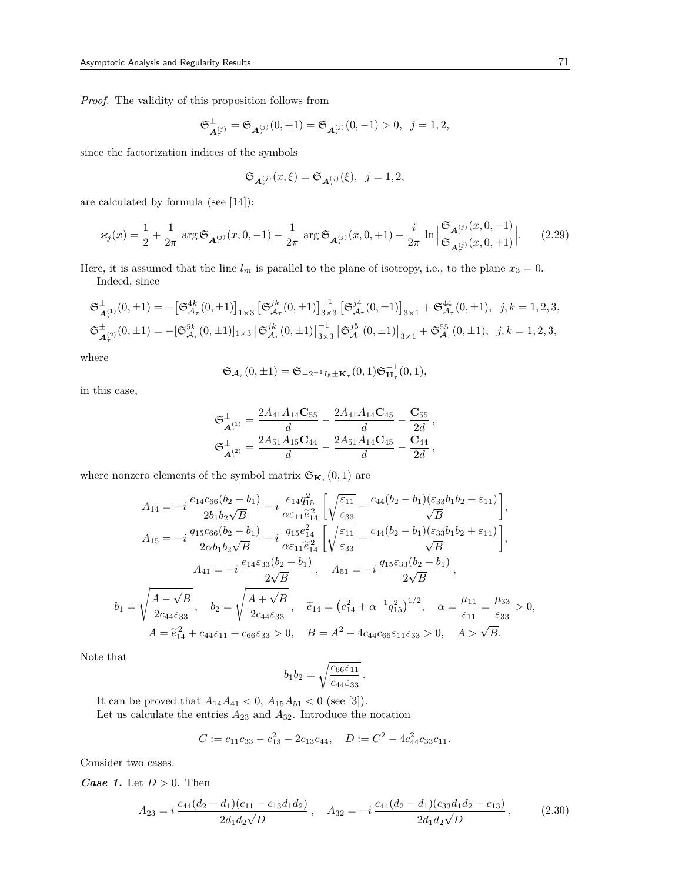*Proof.* The validity of this proposition follows from

$$
\mathfrak{S}^{\pm}_{\mathbf{A}^{(j)}_{\tau}} = \mathfrak{S}_{\mathbf{A}^{(j)}_{\tau}}(0,+1) = \mathfrak{S}_{\mathbf{A}^{(j)}_{\tau}}(0,-1) > 0, \ \ j = 1,2,
$$

since the factorization indices of the symbols

$$
\mathfrak{S}_{\mathbf{A}_{\tau}^{(j)}}(x,\xi)=\mathfrak{S}_{\mathbf{A}_{\tau}^{(j)}}(\xi),\;\;j=1,2,
$$

are calculated by formula (see [14]):

$$
\varkappa_j(x) = \frac{1}{2} + \frac{1}{2\pi} \arg \mathfrak{S}_{\mathbf{A}_\tau^{(j)}}(x, 0, -1) - \frac{1}{2\pi} \arg \mathfrak{S}_{\mathbf{A}_\tau^{(j)}}(x, 0, +1) - \frac{i}{2\pi} \ln \left| \frac{\mathfrak{S}_{\mathbf{A}_\tau^{(j)}}(x, 0, -1)}{\mathfrak{S}_{\mathbf{A}_\tau^{(j)}}(x, 0, +1)} \right|.
$$
 (2.29)

Here, it is assumed that the line  $l_m$  is parallel to the plane of isotropy, i.e., to the plane  $x_3 = 0$ . Indeed, since

$$
\begin{split} \mathfrak{S}^{\pm}_{\mathcal{A}_{\tau}}(0,\pm 1)=&-\big[\mathfrak{S}^{4k}_{\mathcal{A}_{\tau}}(0,\pm 1)\big]_{1\times 3}\left[\mathfrak{S}^{jk}_{\mathcal{A}_{\tau}}(0,\pm 1)\right]^{-1}_{3\times 3}\left[\mathfrak{S}^{j4}_{\mathcal{A}_{\tau}}(0,\pm 1)\right]_{3\times 1}+\mathfrak{S}^{44}_{\mathcal{A}_{\tau}}(0,\pm 1), \ \ j,k=1,2,3,\\ \mathfrak{S}^{\pm}_{\mathcal{A}_{\tau}^{(2)}}(0,\pm 1)=-[\mathfrak{S}^{5k}_{\mathcal{A}_{\tau}}(0,\pm 1)]_{1\times 3}\left[\mathfrak{S}^{jk}_{\mathcal{A}_{\tau}}(0,\pm 1)\right]^{-1}_{3\times 3}\left[\mathfrak{S}^{j5}_{\mathcal{A}_{\tau}}(0,\pm 1)\right]_{3\times 1}+\mathfrak{S}^{55}_{\mathcal{A}_{\tau}}(0,\pm 1), \ \ j,k=1,2,3,\\ \end{split}
$$

where

$$
\mathfrak{S}_{\mathcal{A}_{\tau}}(0,\pm 1)=\mathfrak{S}_{-2^{-1}I_5\pm \mathbf{K}_{\tau}}(0,1)\mathfrak{S}_{\mathbf{H}_{\tau}}^{-1}(0,1),
$$

in this case,

$$
\mathfrak{S}_{\mathbf{A}_{\tau}^{(1)}}^{\pm} = \frac{2A_{41}A_{14}\mathbf{C}_{55}}{d} - \frac{2A_{41}A_{14}\mathbf{C}_{45}}{d} - \frac{\mathbf{C}_{55}}{2d},
$$
\n
$$
\mathfrak{S}_{\mathbf{A}_{\tau}^{(2)}}^{\pm} = \frac{2A_{51}A_{15}\mathbf{C}_{44}}{d} - \frac{2A_{51}A_{14}\mathbf{C}_{45}}{d} - \frac{\mathbf{C}_{44}}{2d},
$$

where nonzero elements of the symbol matrix  $\mathfrak{S}_{\mathbf{K}_{\tau}}(0,1)$  are

$$
A_{14} = -i \frac{e_{14}c_{66}(b_2 - b_1)}{2b_1b_2\sqrt{B}} - i \frac{e_{14}q_{15}^2}{\alpha\varepsilon_{11}\tilde{e}_{14}^2} \left[ \sqrt{\frac{\varepsilon_{11}}{\varepsilon_{33}}} - \frac{c_{44}(b_2 - b_1)(\varepsilon_{33}b_1b_2 + \varepsilon_{11})}{\sqrt{B}} \right],
$$
  
\n
$$
A_{15} = -i \frac{q_{15}c_{66}(b_2 - b_1)}{2\alpha b_1b_2\sqrt{B}} - i \frac{q_{15}e_{14}^2}{\alpha\varepsilon_{11}\tilde{e}_{14}^2} \left[ \sqrt{\frac{\varepsilon_{11}}{\varepsilon_{33}}} - \frac{c_{44}(b_2 - b_1)(\varepsilon_{33}b_1b_2 + \varepsilon_{11})}{\sqrt{B}} \right],
$$
  
\n
$$
A_{41} = -i \frac{e_{14}\varepsilon_{33}(b_2 - b_1)}{2\sqrt{B}}, \quad A_{51} = -i \frac{q_{15}\varepsilon_{33}(b_2 - b_1)}{2\sqrt{B}},
$$
  
\n
$$
b_1 = \sqrt{\frac{A - \sqrt{B}}{2c_{44}\varepsilon_{33}}}, \quad b_2 = \sqrt{\frac{A + \sqrt{B}}{2c_{44}\varepsilon_{33}}}, \quad \tilde{e}_{14} = (e_{14}^2 + \alpha^{-1}q_{15}^2)^{1/2}, \quad \alpha = \frac{\mu_{11}}{\varepsilon_{11}} = \frac{\mu_{33}}{\varepsilon_{33}} > 0,
$$
  
\n
$$
A = \tilde{e}_{14}^2 + c_{44}\varepsilon_{11} + c_{66}\varepsilon_{33} > 0, \quad B = A^2 - 4c_{44}c_{66}\varepsilon_{11}\varepsilon_{33} > 0, \quad A > \sqrt{B}.
$$

Note that

$$
b_1b_2=\sqrt{\frac{c_{66}\varepsilon_{11}}{c_{44}\varepsilon_{33}}}.
$$

It can be proved that  $A_{14}A_{41} < 0$ ,  $A_{15}A_{51} < 0$  (see [3]).

Let us calculate the entries  $A_{23}$  and  $A_{32}$ . Introduce the notation

$$
C := c_{11}c_{33} - c_{13}^2 - 2c_{13}c_{44}, \quad D := C^2 - 4c_{44}^2c_{33}c_{11}.
$$

Consider two cases.

*Case 1.* Let *D >* 0. Then

$$
A_{23} = i \frac{c_{44}(d_2 - d_1)(c_{11} - c_{13}d_1d_2)}{2d_1d_2\sqrt{D}}, \quad A_{32} = -i \frac{c_{44}(d_2 - d_1)(c_{33}d_1d_2 - c_{13})}{2d_1d_2\sqrt{D}}, \tag{2.30}
$$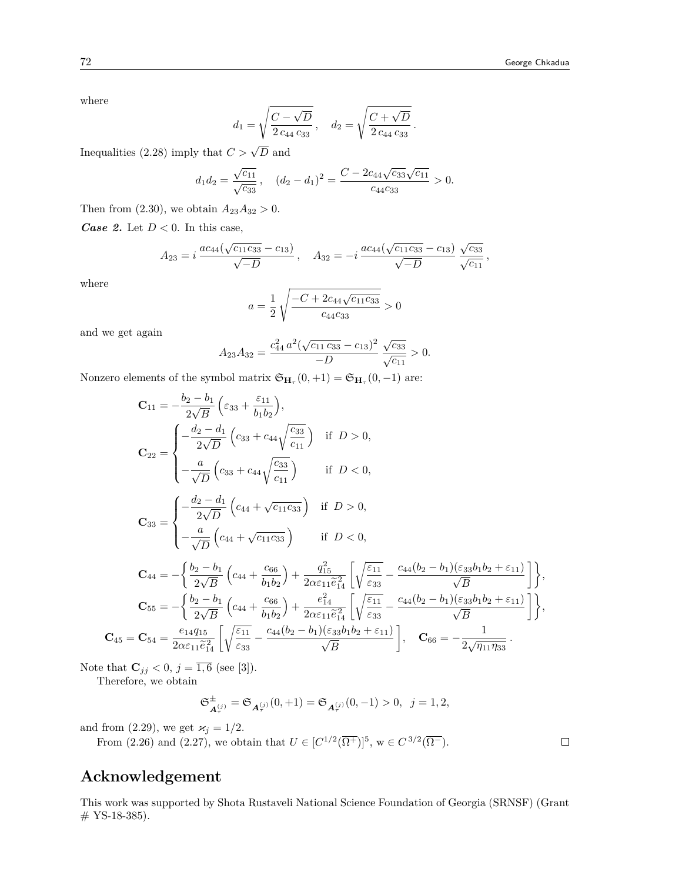where

$$
d_1 = \sqrt{\frac{C - \sqrt{D}}{2 c_{44} c_{33}}}, \quad d_2 = \sqrt{\frac{C + \sqrt{D}}{2 c_{44} c_{33}}}.
$$

Inequalities (2.28) imply that  $C > \sqrt{D}$  and

$$
d_1 d_2 = \frac{\sqrt{c_{11}}}{\sqrt{c_{33}}}, \quad (d_2 - d_1)^2 = \frac{C - 2c_{44}\sqrt{c_{33}}\sqrt{c_{11}}}{c_{44}c_{33}} > 0.
$$

Then from (2.30), we obtain  $A_{23}A_{32} > 0$ .

*Case 2.* Let  $D < 0$ . In this case,

$$
A_{23} = i \frac{ac_{44}(\sqrt{c_{11}c_{33}} - c_{13})}{\sqrt{-D}}, \quad A_{32} = -i \frac{ac_{44}(\sqrt{c_{11}c_{33}} - c_{13})}{\sqrt{-D}} \frac{\sqrt{c_{33}}}{\sqrt{c_{11}}},
$$

where

$$
a=\frac{1}{2}\sqrt{\frac{-C+2c_{44}\sqrt{c_{11}c_{33}}}{c_{44}c_{33}}}>0
$$

and we get again

$$
A_{23}A_{32} = \frac{c_{44}^2 a^2 (\sqrt{c_{11} c_{33}} - c_{13})^2}{-D} \frac{\sqrt{c_{33}}}{\sqrt{c_{11}}} > 0.
$$

Nonzero elements of the symbol matrix  $\mathfrak{S}_{\mathbf{H}_{\tau}}(0, +1) = \mathfrak{S}_{\mathbf{H}_{\tau}}(0, -1)$  are:

$$
C_{11} = -\frac{b_2 - b_1}{2\sqrt{B}} \left( \varepsilon_{33} + \frac{\varepsilon_{11}}{b_1 b_2} \right),
$$
  
\n
$$
C_{22} = \begin{cases}\n-\frac{d_2 - d_1}{2\sqrt{D}} \left( c_{33} + c_{44} \sqrt{\frac{c_{33}}{c_{11}}} \right) & \text{if } D > 0, \\
-\frac{a}{\sqrt{D}} \left( c_{33} + c_{44} \sqrt{\frac{c_{33}}{c_{11}}} \right) & \text{if } D < 0,\n\end{cases}
$$
  
\n
$$
C_{33} = \begin{cases}\n-\frac{d_2 - d_1}{2\sqrt{D}} \left( c_{44} + \sqrt{c_{11} c_{33}} \right) & \text{if } D > 0, \\
-\frac{a}{\sqrt{D}} \left( c_{44} + \sqrt{c_{11} c_{33}} \right) & \text{if } D > 0,\n\end{cases}
$$
  
\n
$$
C_{44} = -\left\{ \frac{b_2 - b_1}{2\sqrt{B}} \left( c_{44} + \frac{c_{66}}{b_1 b_2} \right) + \frac{q_{15}^2}{2\alpha \varepsilon_{11} \tilde{e}_{14}^2} \left[ \sqrt{\frac{\varepsilon_{11}}{\varepsilon_{33}}} - \frac{c_{44} (b_2 - b_1)(\varepsilon_{33} b_1 b_2 + \varepsilon_{11})}{\sqrt{B}} \right] \right\},
$$
  
\n
$$
C_{55} = -\left\{ \frac{b_2 - b_1}{2\sqrt{B}} \left( c_{44} + \frac{c_{66}}{b_1 b_2} \right) + \frac{e_{14}^2}{2\alpha \varepsilon_{11} \tilde{e}_{14}^2} \left[ \sqrt{\frac{\varepsilon_{11}}{\varepsilon_{33}}} - \frac{c_{44} (b_2 - b_1)(\varepsilon_{33} b_1 b_2 + \varepsilon_{11})}{\sqrt{B}} \right] \right\},
$$
  
\n
$$
C_{45} = C_{54} = \frac{e_{14} q_{15}}{2\alpha \varepsilon_{11} \tilde{e}_{14}^2} \left[ \sqrt{\frac
$$

Note that  $C_{jj} < 0, j = \overline{1, 6}$  (see [3]).

Therefore, we obtain

$$
\mathfrak{S}_{\mathbf{A}_{\tau}^{(j)}}^{\pm} = \mathfrak{S}_{\mathbf{A}_{\tau}^{(j)}}(0, +1) = \mathfrak{S}_{\mathbf{A}_{\tau}^{(j)}}(0, -1) > 0, \ \ j = 1, 2,
$$

and from (2.29), we get  $\varkappa_j = 1/2$ .

From (2.26) and (2.27), we obtain that  $U \in [C^{1/2}(\overline{\Omega^+})]^5$ ,  $w \in C^{3/2}(\overline{\Omega^-})$ .

#### $\Box$

## **Acknowledgement**

This work was supported by Shota Rustaveli National Science Foundation of Georgia (SRNSF) (Grant  $#$  YS-18-385).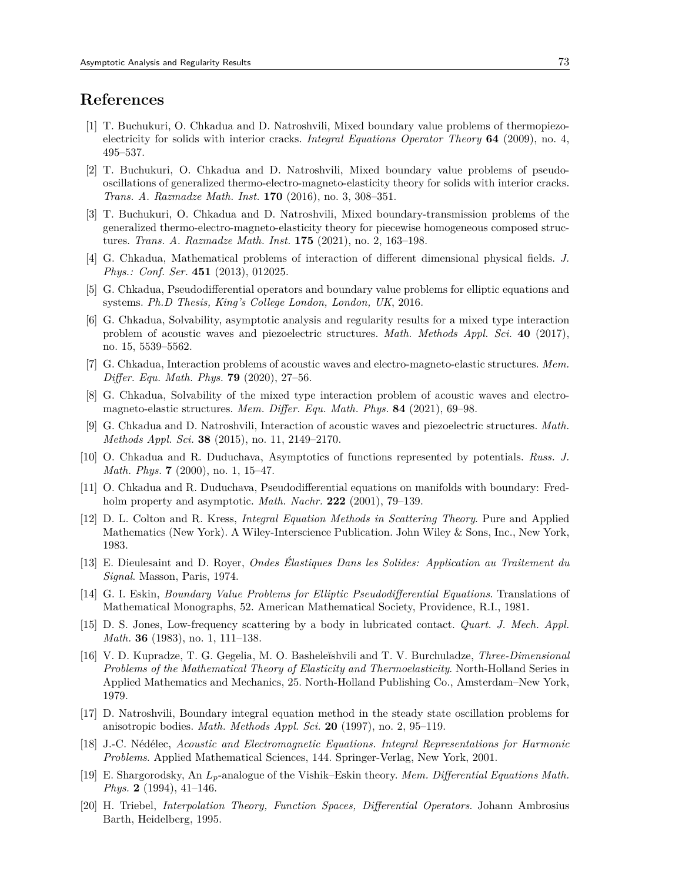## **References**

- [1] T. Buchukuri, O. Chkadua and D. Natroshvili, Mixed boundary value problems of thermopiezoelectricity for solids with interior cracks. *Integral Equations Operator Theory* **64** (2009), no. 4, 495–537.
- [2] T. Buchukuri, O. Chkadua and D. Natroshvili, Mixed boundary value problems of pseudooscillations of generalized thermo-electro-magneto-elasticity theory for solids with interior cracks. *Trans. A. Razmadze Math. Inst.* **170** (2016), no. 3, 308–351.
- [3] T. Buchukuri, O. Chkadua and D. Natroshvili, Mixed boundary-transmission problems of the generalized thermo-electro-magneto-elasticity theory for piecewise homogeneous composed structures. *Trans. A. Razmadze Math. Inst.* **175** (2021), no. 2, 163–198.
- [4] G. Chkadua, Mathematical problems of interaction of different dimensional physical fields. *J. Phys.: Conf. Ser.* **451** (2013), 012025.
- [5] G. Chkadua, Pseudodifferential operators and boundary value problems for elliptic equations and systems. *Ph.D Thesis, King's College London, London, UK*, 2016.
- [6] G. Chkadua, Solvability, asymptotic analysis and regularity results for a mixed type interaction problem of acoustic waves and piezoelectric structures. *Math. Methods Appl. Sci.* **40** (2017), no. 15, 5539–5562.
- [7] G. Chkadua, Interaction problems of acoustic waves and electro-magneto-elastic structures. *Mem. Differ. Equ. Math. Phys.* **79** (2020), 27–56.
- [8] G. Chkadua, Solvability of the mixed type interaction problem of acoustic waves and electromagneto-elastic structures. *Mem. Differ. Equ. Math. Phys.* **84** (2021), 69–98.
- [9] G. Chkadua and D. Natroshvili, Interaction of acoustic waves and piezoelectric structures. *Math. Methods Appl. Sci.* **38** (2015), no. 11, 2149–2170.
- [10] O. Chkadua and R. Duduchava, Asymptotics of functions represented by potentials. *Russ. J. Math. Phys.* **7** (2000), no. 1, 15–47.
- [11] O. Chkadua and R. Duduchava, Pseudodifferential equations on manifolds with boundary: Fredholm property and asymptotic. *Math. Nachr.* **222** (2001), 79–139.
- [12] D. L. Colton and R. Kress, *Integral Equation Methods in Scattering Theory*. Pure and Applied Mathematics (New York). A Wiley-Interscience Publication. John Wiley & Sons, Inc., New York, 1983.
- [13] E. Dieulesaint and D. Royer, *Ondes É́lastiques Dans les Solides: Application au Traitement du Signal*. Masson, Paris, 1974.
- [14] G. I. Eskin, *Boundary Value Problems for Elliptic Pseudodifferential Equations*. Translations of Mathematical Monographs, 52. American Mathematical Society, Providence, R.I., 1981.
- [15] D. S. Jones, Low-frequency scattering by a body in lubricated contact. *Quart. J. Mech. Appl. Math.* **36** (1983), no. 1, 111–138.
- [16] V. D. Kupradze, T. G. Gegelia, M. O. Basheleĭshvili and T. V. Burchuladze, *Three-Dimensional Problems of the Mathematical Theory of Elasticity and Thermoelasticity*. North-Holland Series in Applied Mathematics and Mechanics, 25. North-Holland Publishing Co., Amsterdam–New York, 1979.
- [17] D. Natroshvili, Boundary integral equation method in the steady state oscillation problems for anisotropic bodies. *Math. Methods Appl. Sci.* **20** (1997), no. 2, 95–119.
- [18] J.-C. Nédélec, *Acoustic and Electromagnetic Equations. Integral Representations for Harmonic Problems*. Applied Mathematical Sciences, 144. Springer-Verlag, New York, 2001.
- [19] E. Shargorodsky, An *Lp*-analogue of the Vishik–Eskin theory. *Mem. Differential Equations Math. Phys.* **2** (1994), 41–146.
- [20] H. Triebel, *Interpolation Theory, Function Spaces, Differential Operators*. Johann Ambrosius Barth, Heidelberg, 1995.